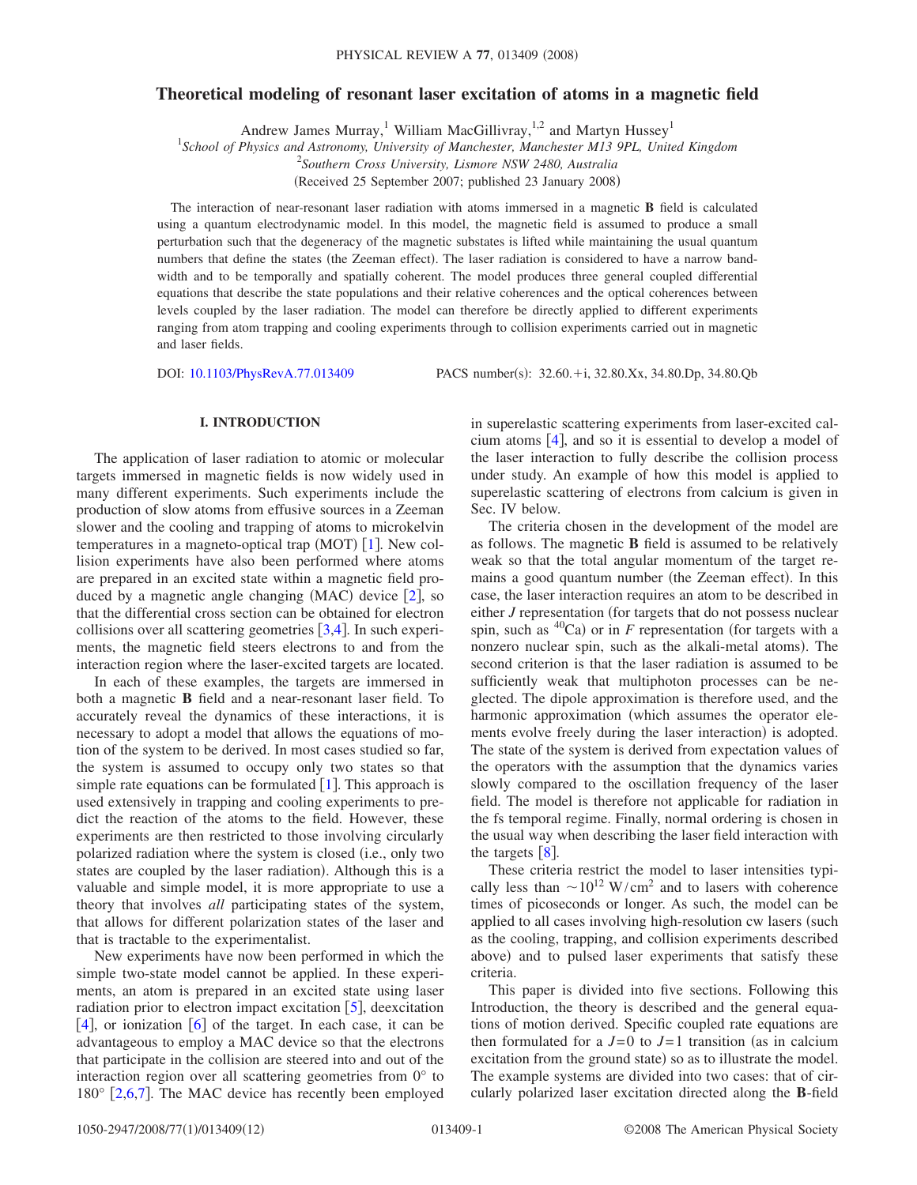## **Theoretical modeling of resonant laser excitation of atoms in a magnetic field**

Andrew James Murray,<sup>1</sup> William MacGillivray,<sup>1,2</sup> and Martyn Hussey<sup>1</sup>

1 *School of Physics and Astronomy, University of Manchester, Manchester M13 9PL, United Kingdom*

2 *Southern Cross University, Lismore NSW 2480, Australia*

(Received 25 September 2007; published 23 January 2008)

The interaction of near-resonant laser radiation with atoms immersed in a magnetic **B** field is calculated using a quantum electrodynamic model. In this model, the magnetic field is assumed to produce a small perturbation such that the degeneracy of the magnetic substates is lifted while maintaining the usual quantum numbers that define the states (the Zeeman effect). The laser radiation is considered to have a narrow bandwidth and to be temporally and spatially coherent. The model produces three general coupled differential equations that describe the state populations and their relative coherences and the optical coherences between levels coupled by the laser radiation. The model can therefore be directly applied to different experiments ranging from atom trapping and cooling experiments through to collision experiments carried out in magnetic and laser fields.

DOI: [10.1103/PhysRevA.77.013409](http://dx.doi.org/10.1103/PhysRevA.77.013409)

PACS number(s): 32.60.+i, 32.80.Xx, 34.80.Dp, 34.80.Qb

### **I. INTRODUCTION**

The application of laser radiation to atomic or molecular targets immersed in magnetic fields is now widely used in many different experiments. Such experiments include the production of slow atoms from effusive sources in a Zeeman slower and the cooling and trapping of atoms to microkelvin temperatures in a magneto-optical trap (MOT)  $[1]$  $[1]$  $[1]$ . New collision experiments have also been performed where atoms are prepared in an excited state within a magnetic field produced by a magnetic angle changing  $(MAC)$  device  $[2]$  $[2]$  $[2]$ , so that the differential cross section can be obtained for electron collisions over all scattering geometries  $[3,4]$  $[3,4]$  $[3,4]$  $[3,4]$ . In such experiments, the magnetic field steers electrons to and from the interaction region where the laser-excited targets are located.

In each of these examples, the targets are immersed in both a magnetic **B** field and a near-resonant laser field. To accurately reveal the dynamics of these interactions, it is necessary to adopt a model that allows the equations of motion of the system to be derived. In most cases studied so far, the system is assumed to occupy only two states so that simple rate equations can be formulated  $|1|$  $|1|$  $|1|$ . This approach is used extensively in trapping and cooling experiments to predict the reaction of the atoms to the field. However, these experiments are then restricted to those involving circularly polarized radiation where the system is closed (i.e., only two states are coupled by the laser radiation). Although this is a valuable and simple model, it is more appropriate to use a theory that involves *all* participating states of the system, that allows for different polarization states of the laser and that is tractable to the experimentalist.

New experiments have now been performed in which the simple two-state model cannot be applied. In these experiments, an atom is prepared in an excited state using laser radiation prior to electron impact excitation  $\lceil 5 \rceil$  $\lceil 5 \rceil$  $\lceil 5 \rceil$ , deexcitation [[4](#page-10-3)], or ionization [[6](#page-10-5)] of the target. In each case, it can be advantageous to employ a MAC device so that the electrons that participate in the collision are steered into and out of the interaction region over all scattering geometries from 0° to  $180^\circ$  [[2,](#page-10-1)[6,](#page-10-5)[7](#page-10-6)]. The MAC device has recently been employed in superelastic scattering experiments from laser-excited calcium atoms  $[4]$  $[4]$  $[4]$ , and so it is essential to develop a model of the laser interaction to fully describe the collision process under study. An example of how this model is applied to superelastic scattering of electrons from calcium is given in Sec. IV below.

The criteria chosen in the development of the model are as follows. The magnetic **B** field is assumed to be relatively weak so that the total angular momentum of the target remains a good quantum number (the Zeeman effect). In this case, the laser interaction requires an atom to be described in either  $J$  representation (for targets that do not possess nuclear spin, such as  ${}^{40}Ca$ ) or in *F* representation (for targets with a nonzero nuclear spin, such as the alkali-metal atoms). The second criterion is that the laser radiation is assumed to be sufficiently weak that multiphoton processes can be neglected. The dipole approximation is therefore used, and the harmonic approximation (which assumes the operator elements evolve freely during the laser interaction) is adopted. The state of the system is derived from expectation values of the operators with the assumption that the dynamics varies slowly compared to the oscillation frequency of the laser field. The model is therefore not applicable for radiation in the fs temporal regime. Finally, normal ordering is chosen in the usual way when describing the laser field interaction with the targets  $\lceil 8 \rceil$  $\lceil 8 \rceil$  $\lceil 8 \rceil$ .

These criteria restrict the model to laser intensities typically less than  $\sim 10^{12}$  W/cm<sup>2</sup> and to lasers with coherence times of picoseconds or longer. As such, the model can be applied to all cases involving high-resolution cw lasers (such as the cooling, trapping, and collision experiments described above) and to pulsed laser experiments that satisfy these criteria.

This paper is divided into five sections. Following this Introduction, the theory is described and the general equations of motion derived. Specific coupled rate equations are then formulated for a  $J=0$  to  $J=1$  transition (as in calcium excitation from the ground state) so as to illustrate the model. The example systems are divided into two cases: that of circularly polarized laser excitation directed along the **B**-field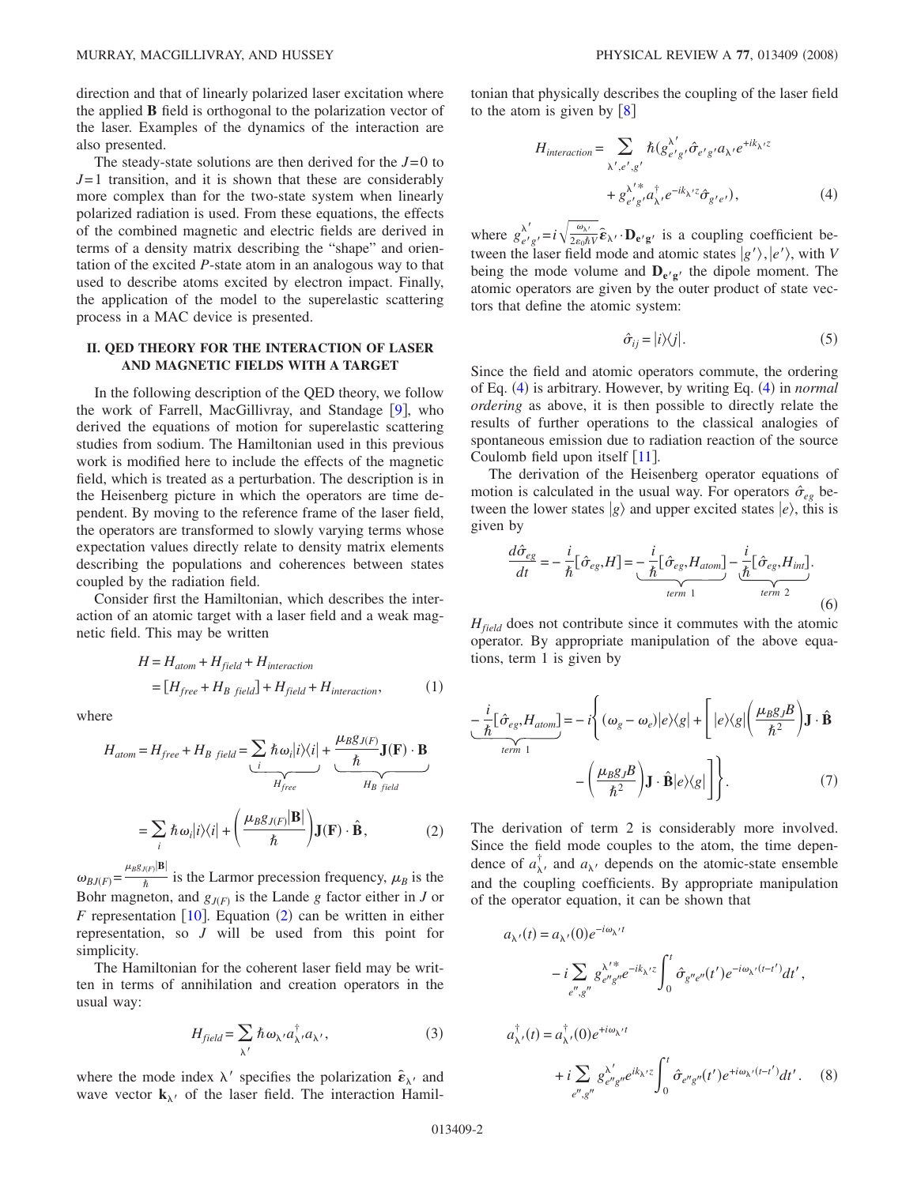direction and that of linearly polarized laser excitation where the applied **B** field is orthogonal to the polarization vector of the laser. Examples of the dynamics of the interaction are also presented.

The steady-state solutions are then derived for the  $J=0$  to *J*= 1 transition, and it is shown that these are considerably more complex than for the two-state system when linearly polarized radiation is used. From these equations, the effects of the combined magnetic and electric fields are derived in terms of a density matrix describing the "shape" and orientation of the excited *P*-state atom in an analogous way to that used to describe atoms excited by electron impact. Finally, the application of the model to the superelastic scattering process in a MAC device is presented.

## **II. QED THEORY FOR THE INTERACTION OF LASER AND MAGNETIC FIELDS WITH A TARGET**

In the following description of the QED theory, we follow the work of Farrell, MacGillivray, and Standage  $[9]$  $[9]$  $[9]$ , who derived the equations of motion for superelastic scattering studies from sodium. The Hamiltonian used in this previous work is modified here to include the effects of the magnetic field, which is treated as a perturbation. The description is in the Heisenberg picture in which the operators are time dependent. By moving to the reference frame of the laser field, the operators are transformed to slowly varying terms whose expectation values directly relate to density matrix elements describing the populations and coherences between states coupled by the radiation field.

Consider first the Hamiltonian, which describes the interaction of an atomic target with a laser field and a weak magnetic field. This may be written

$$
H = H_{atom} + H_{field} + H_{interaction}
$$
  
= 
$$
[H_{free} + H_{B field}] + H_{field} + H_{interaction},
$$
 (1)

<span id="page-1-0"></span>where

$$
H_{atom} = H_{free} + H_{B\ field} = \sum_{i} \hbar \omega_{i} |i\rangle\langle i| + \frac{\mu_{B}g_{J(F)}}{\hbar} \mathbf{J}(\mathbf{F}) \cdot \mathbf{B}
$$

$$
= \sum_{i} \hbar \omega_{i} |i\rangle\langle i| + \left(\frac{\mu_{B}g_{J(F)}|\mathbf{B}|}{\hbar}\right) \mathbf{J}(\mathbf{F}) \cdot \hat{\mathbf{B}}, \tag{2}
$$

 $\omega_{BJ(F)} = \frac{\mu_{BSJ(F)}|\mathbf{B}|}{\hbar}$  is the Larmor precession frequency,  $\mu_B$  is the Bohr magneton, and  $g_{J(F)}$  is the Lande *g* factor either in *J* or  $F$  representation [[10](#page-10-9)]. Equation ([2](#page-1-0)) can be written in either representation, so *J* will be used from this point for simplicity.

The Hamiltonian for the coherent laser field may be written in terms of annihilation and creation operators in the usual way:

$$
H_{field} = \sum_{\lambda'} \hbar \omega_{\lambda'} a_{\lambda'}^{\dagger} a_{\lambda'}, \qquad (3)
$$

where the mode index  $\lambda'$  specifies the polarization  $\hat{\boldsymbol{\epsilon}}_{\lambda'}$  and wave vector  $\mathbf{k}_{\lambda}$  of the laser field. The interaction Hamil<span id="page-1-1"></span>tonian that physically describes the coupling of the laser field to the atom is given by  $[8]$  $[8]$  $[8]$ 

$$
H_{interaction} = \sum_{\lambda', e', g'} \hbar (g_{e'g'}^{\lambda'} \hat{\sigma}_{e'g'} a_{\lambda'} e^{+ik_{\lambda'}z} + g_{e'g}^{\lambda' *} a_{\lambda'}^{\dagger} e^{-ik_{\lambda'}z} \hat{\sigma}_{g'e'}),
$$
\n(4)

where  $g_{e'g'}^{\lambda'} = i \sqrt{\frac{\omega_{\lambda'}}{2\epsilon_0 \hbar V}} \hat{\boldsymbol{\epsilon}}_{\lambda'} \cdot \mathbf{D}_{e'g'}$  is a coupling coefficient between the laser field mode and atomic states  $|g'\rangle$ ,  $|e'\rangle$ , with *V* being the mode volume and  $D_{e'g'}$  the dipole moment. The atomic operators are given by the outer product of state vectors that define the atomic system:

$$
\hat{\sigma}_{ij} = |i\rangle\langle j|.\tag{5}
$$

Since the field and atomic operators commute, the ordering of Eq. ([4](#page-1-1)) is arbitrary. However, by writing Eq. (4) in *normal ordering* as above, it is then possible to directly relate the results of further operations to the classical analogies of spontaneous emission due to radiation reaction of the source Coulomb field upon itself  $\lceil 11 \rceil$  $\lceil 11 \rceil$  $\lceil 11 \rceil$ .

The derivation of the Heisenberg operator equations of motion is calculated in the usual way. For operators  $\hat{\sigma}_{eg}$  between the lower states  $|g\rangle$  and upper excited states  $|e\rangle$ , this is given by

$$
\frac{d\hat{\sigma}_{eg}}{dt} = -\frac{i}{\hbar} [\hat{\sigma}_{eg}, H] = -\frac{i}{\hbar} [\hat{\sigma}_{eg}, H_{atom}] - \frac{i}{\hbar} [\hat{\sigma}_{eg}, H_{int}].
$$
\n
$$
\underbrace{\text{term 1}}_{term 1} \tag{6}
$$

 $H_{field}$  does not contribute since it commutes with the atomic operator. By appropriate manipulation of the above equations, term 1 is given by

$$
-\frac{i}{\hbar}[\hat{\sigma}_{eg},H_{atom}] = -i\left\{(\omega_g - \omega_e)|e\rangle\langle g| + \left[|e\rangle\langle g|\left(\frac{\mu_B g}{\hbar^2}\right)\mathbf{J}\cdot\hat{\mathbf{B}}\right.\right.\left.\left.-\left(\frac{\mu_B g}{\hbar^2}\right)\mathbf{J}\cdot\hat{\mathbf{B}}|e\rangle\langle g|\right]\right\}.
$$
\n(7)

The derivation of term 2 is considerably more involved. Since the field mode couples to the atom, the time dependence of  $a_{\lambda}^{\dagger}$ , and  $a_{\lambda}$ , depends on the atomic-state ensemble and the coupling coefficients. By appropriate manipulation of the operator equation, it can be shown that

<span id="page-1-2"></span>
$$
a_{\lambda'}(t) = a_{\lambda'}(0)e^{-i\omega_{\lambda'}t}
$$
  
\n
$$
-i\sum_{e'',g''}g_{e''g''}^{\lambda'^*}e^{-ik_{\lambda'}z}\int_0^t\hat{\sigma}_{g''e''}(t')e^{-i\omega_{\lambda'}(t-t')}dt',
$$
  
\n
$$
a_{\lambda'}^{\dagger}(t) = a_{\lambda'}^{\dagger}(0)e^{+i\omega_{\lambda'}t}
$$
  
\n
$$
+i\sum_{e'',g''}g_{e''g''}^{\lambda'}e^{ik_{\lambda'}z}\int_0^t\hat{\sigma}_{e''g''}(t')e^{+i\omega_{\lambda'}(t-t')}dt'. \quad (8)
$$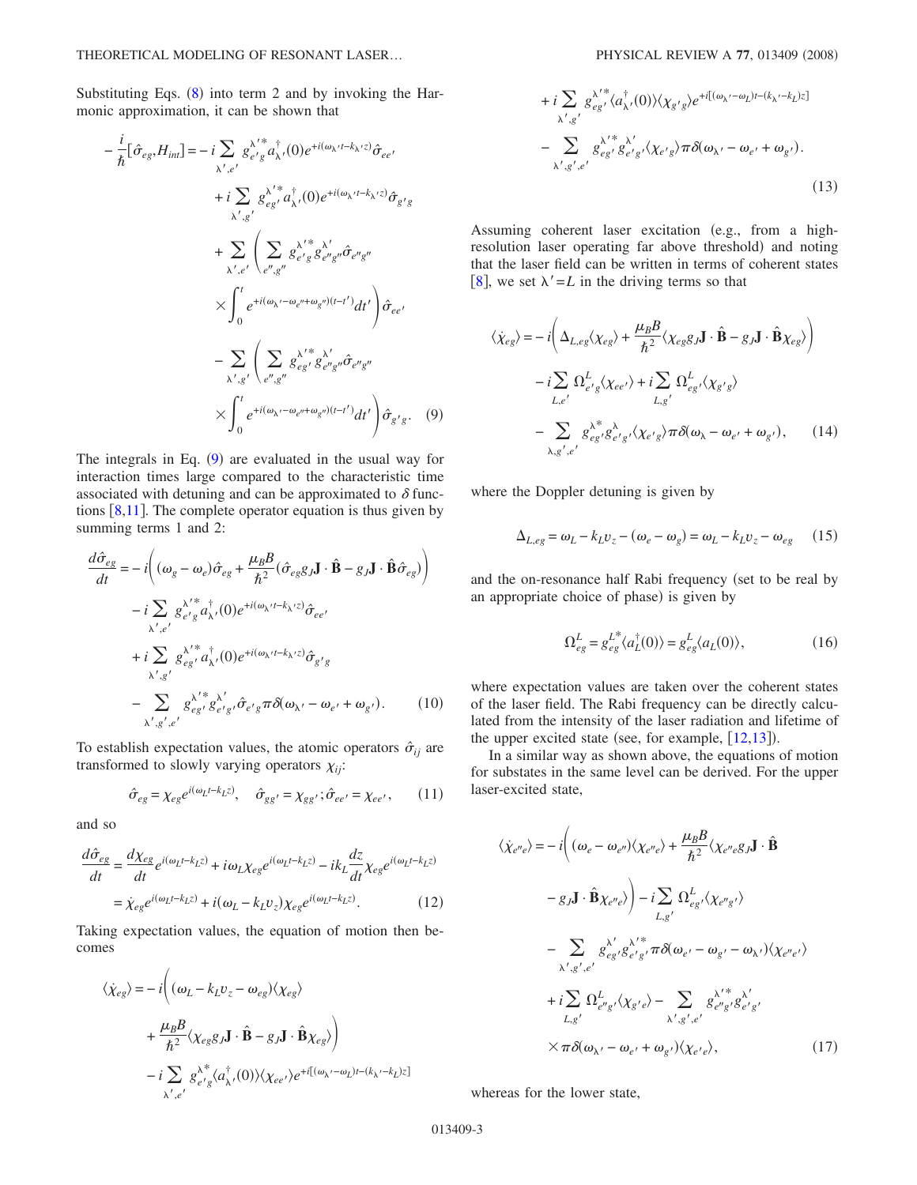Substituting Eqs.  $(8)$  $(8)$  $(8)$  into term 2 and by invoking the Harmonic approximation, it can be shown that

<span id="page-2-0"></span>
$$
-\frac{i}{\hbar}[\hat{\sigma}_{eg},H_{int}] = -i\sum_{\lambda',e'}g_{e'g}^{\lambda'^*}a_{\lambda'}^{\dagger}(0)e^{+i(\omega_{\lambda'}t-k_{\lambda'}z)}\hat{\sigma}_{ee'}
$$
  
+ $i\sum_{\lambda',g'}g_{eg'}^{\lambda'^*}a_{\lambda'}^{\dagger}(0)e^{+i(\omega_{\lambda'}t-k_{\lambda'}z)}\hat{\sigma}_{g'g}$   
+
$$
\sum_{\lambda',g'}\left(\sum_{e'',g''}g_{e'g}^{\lambda'^*}g_{e''g}^{\lambda''}a_{e''g''}^{\dagger}\hat{\sigma}_{e''g''}\right)
$$
  

$$
\times\int_{0}^{t}e^{+i(\omega_{\lambda'}-\omega_{e''}+\omega_{g''})(t-t')}dt'\right)\hat{\sigma}_{ee'}
$$
  
-
$$
\sum_{\lambda',g'}\left(\sum_{e'',g''}g_{eg'}^{\lambda'^*}g_{e''g}^{\lambda''}a_{e''g''}^{\dagger}\hat{\sigma}_{e''g''}\right)
$$
  

$$
\times\int_{0}^{t}e^{+i(\omega_{\lambda'}-\omega_{e''}+\omega_{g''})(t-t')}dt'\right)\hat{\sigma}_{g'g}.
$$
(9)

The integrals in Eq. ([9](#page-2-0)) are evaluated in the usual way for interaction times large compared to the characteristic time associated with detuning and can be approximated to  $\delta$  functions  $[8,11]$  $[8,11]$  $[8,11]$  $[8,11]$ . The complete operator equation is thus given by summing terms 1 and 2:

$$
\frac{d\hat{\sigma}_{eg}}{dt} = -i \left( (\omega_g - \omega_e) \hat{\sigma}_{eg} + \frac{\mu_B B}{\hbar^2} (\hat{\sigma}_{eg} g_J \mathbf{J} \cdot \hat{\mathbf{B}} - g_J \mathbf{J} \cdot \hat{\mathbf{B}} \hat{\sigma}_{eg}) \right)
$$

$$
-i \sum_{\substack{\lambda', e' \\ \lambda', e'}} g_{e'g}^{\lambda'^*} a_{\lambda'}^\dagger(0) e^{+i(\omega_{\lambda'} t - k_{\lambda'} z)} \hat{\sigma}_{ee'}
$$

$$
+ i \sum_{\substack{\lambda', g' \\ \lambda', g'}} g_{eg'}^{\lambda'^*} a_{\lambda'}^\dagger(0) e^{+i(\omega_{\lambda'} t - k_{\lambda'} z)} \hat{\sigma}_{g'g}
$$

$$
- \sum_{\substack{\lambda', g', e' \\ \lambda', g', e'}} g_{eg'}^{\lambda'^*} g_{e'g}^{\lambda'} \hat{\sigma}_{e'g} \pi \delta(\omega_{\lambda'} - \omega_{e'} + \omega_{g'}).
$$
(10)

To establish expectation values, the atomic operators  $\hat{\sigma}_{ij}$  are transformed to slowly varying operators  $\chi_{ij}$ :

$$
\hat{\sigma}_{eg} = \chi_{eg} e^{i(\omega_L t - k_L z)}, \quad \hat{\sigma}_{gg'} = \chi_{gg'}; \hat{\sigma}_{ee'} = \chi_{ee'}, \quad (11)
$$

and so

$$
\frac{d\hat{\sigma}_{eg}}{dt} = \frac{d\chi_{eg}}{dt}e^{i(\omega_L t - k_L z)} + i\omega_L \chi_{eg}e^{i(\omega_L t - k_L z)} - ik_L \frac{dz}{dt} \chi_{eg}e^{i(\omega_L t - k_L z)}
$$

$$
= \chi_{eg}e^{i(\omega_L t - k_L z)} + i(\omega_L - k_L v_z) \chi_{eg}e^{i(\omega_L t - k_L z)}.
$$
(12)

Taking expectation values, the equation of motion then becomes

$$
\langle \dot{\chi}_{eg} \rangle = -i \left( (\omega_L - k_L v_z - \omega_{eg}) \langle \chi_{eg} \rangle \right.\n+ \frac{\mu_B B}{\hbar^2} \langle \chi_{eg} g_J \mathbf{J} \cdot \hat{\mathbf{B}} - g_J \mathbf{J} \cdot \hat{\mathbf{B}} \chi_{eg} \rangle \right)\n- i \sum_{\lambda', e'} g_{e'g}^{\lambda^*} \langle a_{\lambda'}^{\dagger}(0) \rangle \langle \chi_{ee'} \rangle e^{+i[(\omega_{\lambda'} - \omega_L)t - (k_{\lambda'} - k_L)z]}
$$

+ 
$$
i \sum_{\lambda',g'} g_{eg'}^{\lambda'^*}(a_{\lambda'}^{\dagger}(0)) \langle \chi_{g'g} \rangle e^{+i[(\omega_{\lambda'}-\omega_L)t-(k_{\lambda'}-k_L)z]}
$$
  
-  $\sum_{\lambda',g',e'} g_{eg'}^{\lambda'^*}(s_{e'g'} \langle \chi_{e'g} \rangle \pi \delta(\omega_{\lambda'}-\omega_{e'}+\omega_{g'}).$  (13)

Assuming coherent laser excitation (e.g., from a highresolution laser operating far above threshold) and noting that the laser field can be written in terms of coherent states [[8](#page-10-7)], we set  $\lambda' = L$  in the driving terms so that

<span id="page-2-1"></span>
$$
\langle \dot{\chi}_{eg} \rangle = -i \left( \Delta_{L,eg} \langle \chi_{eg} \rangle + \frac{\mu_B B}{\hbar^2} \langle \chi_{eg} g_J J \cdot \hat{\mathbf{B}} - g_J J \cdot \hat{\mathbf{B}} \chi_{eg} \rangle \right) \n- i \sum_{L,e'} \Omega_{e'g}^L \langle \chi_{ee'} \rangle + i \sum_{L,g'} \Omega_{eg'}^L \langle \chi_{g'g} \rangle \n- \sum_{\lambda,g',e'} g_{eg'}^{\lambda^*} g_{e'g'}^{\lambda} \langle \chi_{e'g} \rangle \pi \delta(\omega_{\lambda} - \omega_{e'} + \omega_{g'}), \qquad (14)
$$

where the Doppler detuning is given by

$$
\Delta_{L,eg} = \omega_L - k_L v_z - (\omega_e - \omega_g) = \omega_L - k_L v_z - \omega_{eg} \qquad (15)
$$

and the on-resonance half Rabi frequency (set to be real by an appropriate choice of phase) is given by

$$
\Omega_{eg}^L = g_{eg}^{L^*} \langle a_L^{\dagger}(0) \rangle = g_{eg}^L \langle a_L(0) \rangle, \tag{16}
$$

where expectation values are taken over the coherent states of the laser field. The Rabi frequency can be directly calculated from the intensity of the laser radiation and lifetime of the upper excited state (see, for example,  $[12,13]$  $[12,13]$  $[12,13]$  $[12,13]$ ).

In a similar way as shown above, the equations of motion for substates in the same level can be derived. For the upper laser-excited state,

$$
\langle \dot{\chi}_{e''e} \rangle = -i \Big( (\omega_e - \omega_{e''}) \langle \chi_{e''e} \rangle + \frac{\mu_B B}{\hbar^2} \langle \chi_{e''e} g_J J \cdot \hat{\mathbf{B}} \n- g_J J \cdot \hat{\mathbf{B}} \chi_{e''e} \rangle \Big) - i \sum_{L,g'} \Omega_{eg'}^L \langle \chi_{e''g'} \rangle \n- \sum_{\lambda',g',e'} g_{eg'}^{\lambda'g} g_{e'g'}^{\lambda''g} \pi \delta(\omega_{e'} - \omega_{g'} - \omega_{\lambda'}) \langle \chi_{e''e'} \rangle \n+ i \sum_{L,g'} \Omega_{e''g'}^L \langle \chi_{g'e} \rangle - \sum_{\lambda',g',e'} g_{e''g'}^{\lambda''g} g_{e'g'}^{\lambda'} \n\times \pi \delta(\omega_{\lambda'} - \omega_{e'} + \omega_{g'}) \langle \chi_{e'e} \rangle, \tag{17}
$$

whereas for the lower state,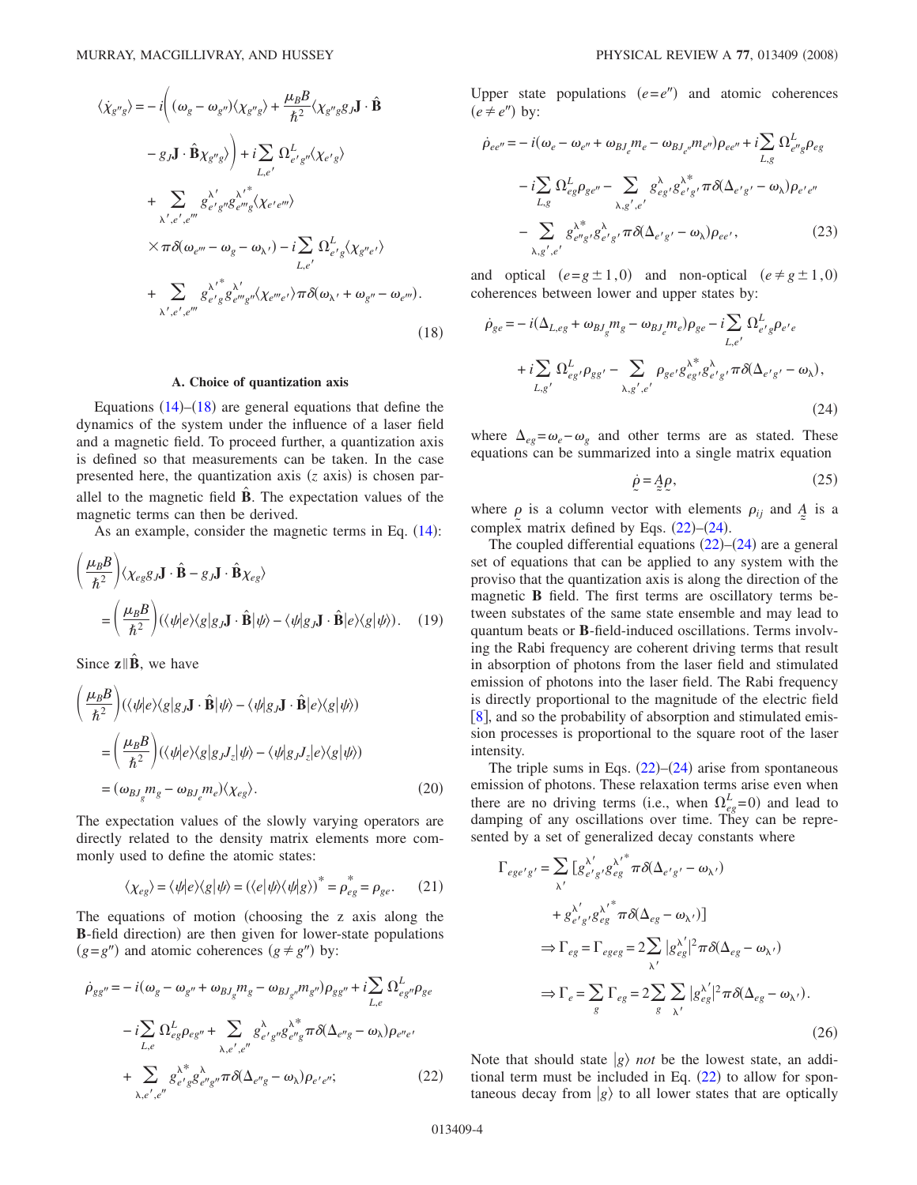<span id="page-3-0"></span>
$$
\langle \dot{\chi}_{g''g} \rangle = -i \Big( (\omega_g - \omega_{g''}) \langle \chi_{g''g} \rangle + \frac{\mu_B B}{\hbar^2} \langle \chi_{g''g} g_J J \cdot \hat{\mathbf{B}} \n- g_J J \cdot \hat{\mathbf{B}} \chi_{g''g} \rangle \Big) + i \sum_{L,e'} \Omega_{e'g''}^L \langle \chi_{e'g} \rangle \n+ \sum_{\lambda',e',e'''} g_{e'g''}^{\lambda'} g_{e''g}^{\lambda''} \langle \chi_{e'e''} \rangle \n\times \pi \delta(\omega_{e'''} - \omega_g - \omega_{\lambda'}) - i \sum_{L,e'} \Omega_{e'g}^L \langle \chi_{g''e'} \rangle \n+ \sum_{\lambda',e',e'''} g_{e''g}^{\lambda''g} g_{e''g''}^L \langle \chi_{e''e'} \rangle \pi \delta(\omega_{\lambda'} + \omega_{g''} - \omega_{e'''}).
$$
\n(18)

#### **A. Choice of quantization axis**

Equations  $(14)$  $(14)$  $(14)$ – $(18)$  $(18)$  $(18)$  are general equations that define the dynamics of the system under the influence of a laser field and a magnetic field. To proceed further, a quantization axis is defined so that measurements can be taken. In the case presented here, the quantization axis (*z* axis) is chosen parallel to the magnetic field  $\hat{\mathbf{B}}$ . The expectation values of the magnetic terms can then be derived.

As an example, consider the magnetic terms in Eq.  $(14)$  $(14)$  $(14)$ :

$$
\left(\frac{\mu_B B}{\hbar^2}\right) \langle \chi_{eg} g_J \mathbf{J} \cdot \hat{\mathbf{B}} - g_J \mathbf{J} \cdot \hat{\mathbf{B}} \chi_{eg} \rangle
$$
  
=\left(\frac{\mu\_B B}{\hbar^2}\right) (\langle \psi | e \rangle \langle g | g\_J \mathbf{J} \cdot \hat{\mathbf{B}} | \psi \rangle - \langle \psi | g\_J \mathbf{J} \cdot \hat{\mathbf{B}} | e \rangle \langle g | \psi \rangle). (19)

Since  $\mathbf{z} \parallel \hat{\mathbf{B}}$ , we have

$$
\left(\frac{\mu_B B}{\hbar^2}\right) (\langle \psi | e \rangle \langle g | g_J \mathbf{J} \cdot \hat{\mathbf{B}} | \psi \rangle - \langle \psi | g_J \mathbf{J} \cdot \hat{\mathbf{B}} | e \rangle \langle g | \psi \rangle)
$$
  
\n
$$
= \left(\frac{\mu_B B}{\hbar^2}\right) (\langle \psi | e \rangle \langle g | g_J J_z | \psi \rangle - \langle \psi | g_J J_z | e \rangle \langle g | \psi \rangle)
$$
  
\n
$$
= (\omega_{BJ_g} m_g - \omega_{BJ_e} m_e) \langle \chi_{eg} \rangle.
$$
 (20)

The expectation values of the slowly varying operators are directly related to the density matrix elements more commonly used to define the atomic states:

$$
\langle \chi_{eg} \rangle = \langle \psi | e \rangle \langle g | \psi \rangle = (\langle e | \psi \rangle \langle \psi | g \rangle)^{*} = \rho_{eg}^{*} = \rho_{ge}. \tag{21}
$$

The equations of motion choosing the z axis along the B-field direction) are then given for lower-state populations  $(g = g'')$  and atomic coherences  $(g \neq g'')$  by:

<span id="page-3-1"></span>
$$
\dot{\rho}_{gg''} = -i(\omega_g - \omega_{g''} + \omega_{BJ_g} m_g - \omega_{BJ_{g''}} m_{g''}) \rho_{gg''} + i \sum_{L,e} \Omega_{eg''}^L \rho_{ge}
$$
  

$$
-i \sum_{L,e} \Omega_{eg}^L \rho_{eg''} + \sum_{\lambda,e',e''} g_{e'g''}^{\lambda} g_{e''g}^{\lambda^*} \pi \delta(\Delta_{e''g} - \omega_{\lambda}) \rho_{e''e'}
$$
  

$$
+ \sum_{\lambda,e',e''} g_{e'g}^{\lambda^*} g_{e''g''}^{\lambda} \pi \delta(\Delta_{e''g} - \omega_{\lambda}) \rho_{e'e''};
$$
(22)

Upper state populations  $(e = e'')$  and atomic coherences  $(e \neq e'')$  by:

$$
\dot{\rho}_{ee''} = -i(\omega_e - \omega_{e''} + \omega_{BJ_e} m_e - \omega_{BJ_{e''}} m_{e''}) \rho_{ee''} + i \sum_{L,g} \Omega_{e''g}^L \rho_{eg}
$$

$$
-i \sum_{L,g} \Omega_{eg}^L \rho_{ge''} - \sum_{\lambda,g',e'} g_{eg}^{\lambda} g_{e'g}^{\lambda^*} \pi \delta(\Delta_{e'g'} - \omega_\lambda) \rho_{e'e''}
$$

$$
- \sum_{\lambda,g',e'} g_{e''g'}^{\lambda^*} g_{e'g'}^{\lambda} \pi \delta(\Delta_{e'g'} - \omega_\lambda) \rho_{ee'}, \qquad (23)
$$

and optical  $(e=g \pm 1,0)$  and non-optical  $(e \neq g \pm 1,0)$ coherences between lower and upper states by:

<span id="page-3-2"></span>
$$
\dot{\rho}_{ge} = -i(\Delta_{L,eg} + \omega_{BJ_g} m_g - \omega_{BJ_e} m_e) \rho_{ge} - i \sum_{L,e'} \Omega_{e'g}^L \rho_{e'e} \n+ i \sum_{L,g'} \Omega_{eg'}^L \rho_{gg'} - \sum_{\lambda,g',e'} \rho_{ge'} g_{eg'}^{\lambda^*} g_{e'g'}^{\lambda^*} \pi \delta(\Delta_{e'g'} - \omega_\lambda),
$$
\n(24)

where  $\Delta_{eg} = \omega_e - \omega_g$  and other terms are as stated. These equations can be summarized into a single matrix equation

$$
\dot{\rho} = A \rho, \tag{25}
$$

<span id="page-3-3"></span>where  $\rho$  is a column vector with elements  $\rho_{ij}$  and  $\Lambda$  is a complex matrix defined by Eqs.  $(22)$  $(22)$  $(22)$ – $(24)$  $(24)$  $(24)$ .

The coupled differential equations  $(22)$  $(22)$  $(22)$ – $(24)$  $(24)$  $(24)$  are a general set of equations that can be applied to any system with the proviso that the quantization axis is along the direction of the magnetic **B** field. The first terms are oscillatory terms between substates of the same state ensemble and may lead to quantum beats or **B**-field-induced oscillations. Terms involving the Rabi frequency are coherent driving terms that result in absorption of photons from the laser field and stimulated emission of photons into the laser field. The Rabi frequency is directly proportional to the magnitude of the electric field [[8](#page-10-7)], and so the probability of absorption and stimulated emission processes is proportional to the square root of the laser intensity.

The triple sums in Eqs.  $(22)$  $(22)$  $(22)$ – $(24)$  $(24)$  $(24)$  arise from spontaneous emission of photons. These relaxation terms arise even when there are no driving terms (i.e., when  $\Omega_{eg}^L = 0$ ) and lead to damping of any oscillations over time. They can be represented by a set of generalized decay constants where

$$
\Gamma_{ege's'} = \sum_{\lambda'} \left[ g_{e'g'}^{\lambda'} g_{eg}^{\lambda'}^* \pi \delta(\Delta_{e'g'} - \omega_{\lambda'}) \right. \n+ g_{e'g'}^{\lambda'} g_{eg}^{\lambda'} \pi \delta(\Delta_{eg} - \omega_{\lambda'}) \right] \n\Rightarrow \Gamma_{eg} = \Gamma_{egeg} = 2 \sum_{\lambda'} |g_{eg}^{\lambda'}|^2 \pi \delta(\Delta_{eg} - \omega_{\lambda'}) \n\Rightarrow \Gamma_e = \sum_g \Gamma_{eg} = 2 \sum_g \sum_{\lambda'} |g_{eg}^{\lambda'}|^2 \pi \delta(\Delta_{eg} - \omega_{\lambda'}).
$$
\n(26)

Note that should state  $|g\rangle$  *not* be the lowest state, an additional term must be included in Eq.  $(22)$  $(22)$  $(22)$  to allow for spontaneous decay from  $|g\rangle$  to all lower states that are optically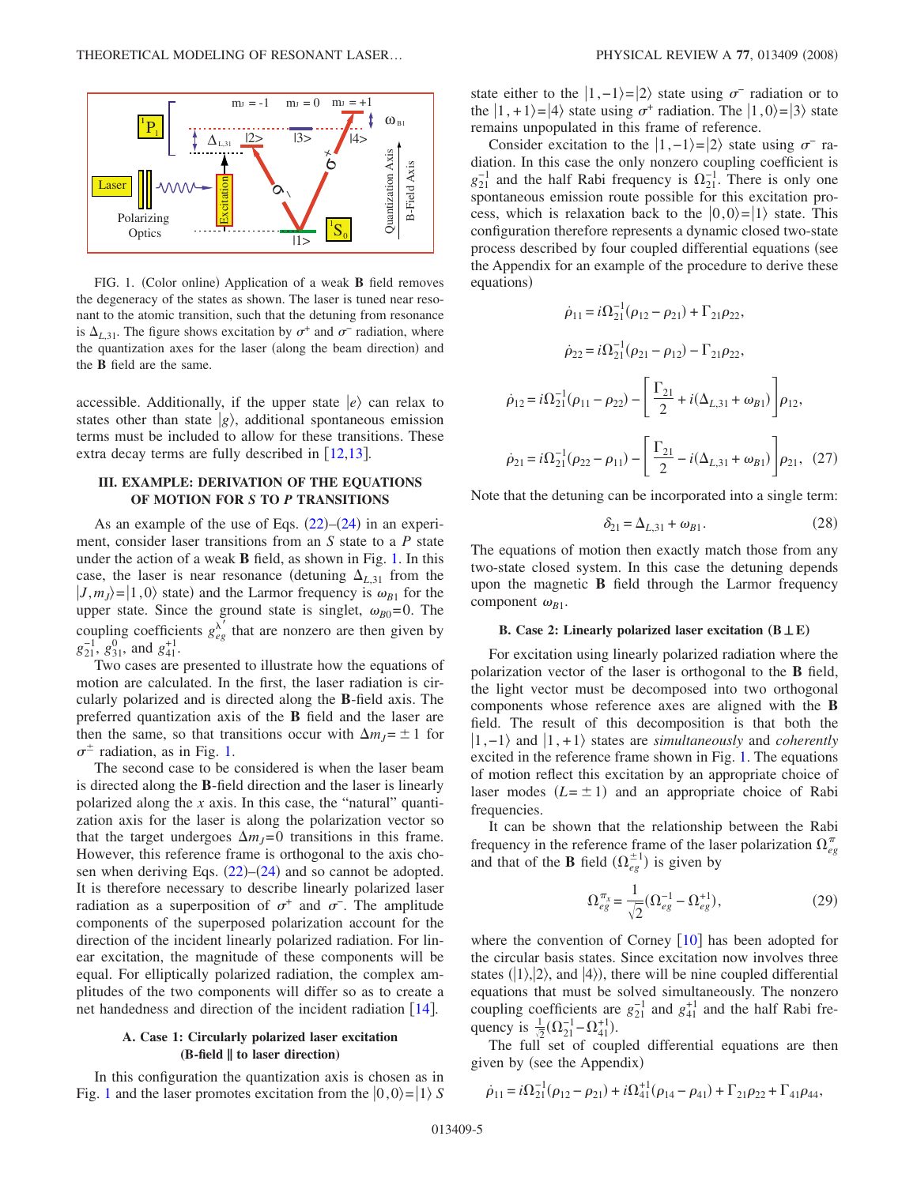<span id="page-4-0"></span>

FIG. 1. (Color online) Application of a weak **B** field removes the degeneracy of the states as shown. The laser is tuned near resonant to the atomic transition, such that the detuning from resonance is  $\Delta_{L,31}$ . The figure shows excitation by  $\sigma^+$  and  $\sigma^-$  radiation, where the quantization axes for the laser (along the beam direction) and the **B** field are the same.

accessible. Additionally, if the upper state  $|e\rangle$  can relax to states other than state  $|g\rangle$ , additional spontaneous emission terms must be included to allow for these transitions. These extra decay terms are fully described in  $[12,13]$  $[12,13]$  $[12,13]$  $[12,13]$ .

# **III. EXAMPLE: DERIVATION OF THE EQUATIONS OF MOTION FOR** *S* **TO** *P* **TRANSITIONS**

As an example of the use of Eqs.  $(22)$  $(22)$  $(22)$ – $(24)$  $(24)$  $(24)$  in an experiment, consider laser transitions from an *S* state to a *P* state under the action of a weak **B** field, as shown in Fig. [1.](#page-4-0) In this case, the laser is near resonance (detuning  $\Delta_{L,31}$  from the  $|J,m_J\rangle = |1,0\rangle$  state) and the Larmor frequency is  $\omega_{B1}$  for the upper state. Since the ground state is singlet,  $\omega_{B0} = 0$ . The coupling coefficients  $g_{eg}^{\lambda'}$  that are nonzero are then given by  $g_{21}^{-1}, g_{31}^0$ , and  $g_{41}^{+1}$ .

Two cases are presented to illustrate how the equations of motion are calculated. In the first, the laser radiation is circularly polarized and is directed along the **B**-field axis. The preferred quantization axis of the **B** field and the laser are then the same, so that transitions occur with  $\Delta m_J = \pm 1$  for  $\sigma^{\pm}$  radiation, as in Fig. [1.](#page-4-0)

The second case to be considered is when the laser beam is directed along the **B**-field direction and the laser is linearly polarized along the *x* axis. In this case, the "natural" quantization axis for the laser is along the polarization vector so that the target undergoes  $\Delta m_J = 0$  transitions in this frame. However, this reference frame is orthogonal to the axis chosen when deriving Eqs.  $(22)$  $(22)$  $(22)$ – $(24)$  $(24)$  $(24)$  and so cannot be adopted. It is therefore necessary to describe linearly polarized laser radiation as a superposition of  $\sigma^+$  and  $\sigma^-$ . The amplitude components of the superposed polarization account for the direction of the incident linearly polarized radiation. For linear excitation, the magnitude of these components will be equal. For elliptically polarized radiation, the complex amplitudes of the two components will differ so as to create a net handedness and direction of the incident radiation  $\lceil 14 \rceil$  $\lceil 14 \rceil$  $\lceil 14 \rceil$ .

## **A. Case 1: Circularly polarized laser excitation (B-field ¸ to laser direction)**

In this configuration the quantization axis is chosen as in Fig. [1](#page-4-0) and the laser promotes excitation from the  $|0,0\rangle = |1\rangle S$  state either to the  $|1,-1\rangle=|2\rangle$  state using  $\sigma^-$  radiation or to the  $|1,+1\rangle=|4\rangle$  state using  $\sigma^+$  radiation. The  $|1,0\rangle=|3\rangle$  state remains unpopulated in this frame of reference.

Consider excitation to the  $|1,-1\rangle=|2\rangle$  state using  $\sigma^-$  radiation. In this case the only nonzero coupling coefficient is  $g_{21}^{-1}$  and the half Rabi frequency is  $\Omega_{21}^{-1}$ . There is only one spontaneous emission route possible for this excitation process, which is relaxation back to the  $|0,0\rangle = |1\rangle$  state. This configuration therefore represents a dynamic closed two-state process described by four coupled differential equations (see the Appendix for an example of the procedure to derive these equations)

<span id="page-4-1"></span>
$$
\dot{\rho}_{11} = i\Omega_{21}^{-1}(\rho_{12} - \rho_{21}) + \Gamma_{21}\rho_{22},
$$
\n
$$
\dot{\rho}_{22} = i\Omega_{21}^{-1}(\rho_{21} - \rho_{12}) - \Gamma_{21}\rho_{22},
$$
\n
$$
\dot{\rho}_{12} = i\Omega_{21}^{-1}(\rho_{11} - \rho_{22}) - \left[\frac{\Gamma_{21}}{2} + i(\Delta_{L,31} + \omega_{B1})\right]\rho_{12},
$$
\n
$$
\dot{\rho}_{21} = i\Omega_{21}^{-1}(\rho_{22} - \rho_{11}) - \left[\frac{\Gamma_{21}}{2} - i(\Delta_{L,31} + \omega_{B1})\right]\rho_{21}, (27)
$$

Note that the detuning can be incorporated into a single term:

$$
\delta_{21} = \Delta_{L,31} + \omega_{B1}.\tag{28}
$$

The equations of motion then exactly match those from any two-state closed system. In this case the detuning depends upon the magnetic **B** field through the Larmor frequency component  $\omega_{B1}$ .

## **B.** Case 2: Linearly polarized laser excitation  $(B \perp E)$

For excitation using linearly polarized radiation where the polarization vector of the laser is orthogonal to the **B** field, the light vector must be decomposed into two orthogonal components whose reference axes are aligned with the **B** field. The result of this decomposition is that both the  $|1,-1\rangle$  and  $|1,+1\rangle$  states are *simultaneously* and *coherently* excited in the reference frame shown in Fig. [1.](#page-4-0) The equations of motion reflect this excitation by an appropriate choice of laser modes  $(L = \pm 1)$  and an appropriate choice of Rabi frequencies.

It can be shown that the relationship between the Rabi frequency in the reference frame of the laser polarization  $\Omega_{eg}^{\pi}$ and that of the **B** field  $(\Omega_{eg}^{\pm 1})$  is given by

$$
\Omega_{eg}^{\pi_x} = \frac{1}{\sqrt{2}} (\Omega_{eg}^{-1} - \Omega_{eg}^{+1}),
$$
\n(29)

where the convention of Corney  $[10]$  $[10]$  $[10]$  has been adopted for the circular basis states. Since excitation now involves three states  $(|1\rangle, |2\rangle,$  and  $|4\rangle)$ , there will be nine coupled differential equations that must be solved simultaneously. The nonzero coupling coefficients are  $g_{21}^{-1}$  and  $g_{41}^{+1}$  and the half Rabi frequency is  $\frac{1}{\sqrt{2}}(\Omega_{21}^{-1} - \Omega_{41}^{+1})$ .

The full set of coupled differential equations are then given by (see the Appendix)

$$
\dot{\rho}_{11} = i\Omega_{21}^{-1}(\rho_{12} - \rho_{21}) + i\Omega_{41}^{+1}(\rho_{14} - \rho_{41}) + \Gamma_{21}\rho_{22} + \Gamma_{41}\rho_{44},
$$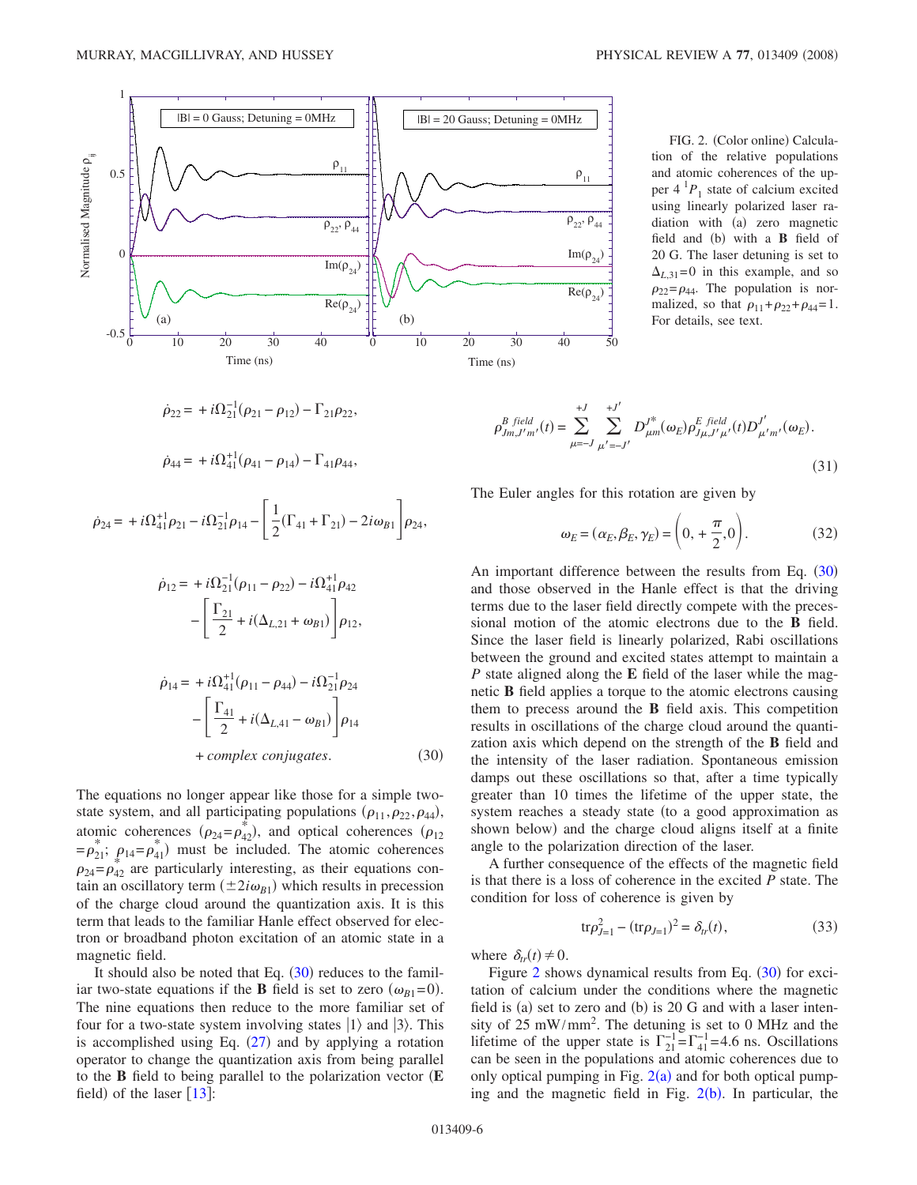<span id="page-5-1"></span>

FIG. 2. (Color online) Calcula-  
tion of the relative populations  
and atomic coherences of the up-  
per 4<sup>1</sup>P<sub>1</sub> state of calcium excited  
using linearly polarized laser ra-  
diation with (a) zero magnetic  
field and (b) with a **B** field of  
20 G. The laser detuning is set to  

$$
\Delta_{L,31}=0
$$
 in this example, and so  
 $\rho_{22}=\rho_{44}$ . The population is nor-  
malized, so that  $\rho_{11}+\rho_{22}+\rho_{44}=1$ .  
For details, see text.

<span id="page-5-0"></span>
$$
\dot{\rho}_{22} = +i\Omega_{21}^{-1}(\rho_{21} - \rho_{12}) - \Gamma_{21}\rho_{22},
$$

$$
\dot{\rho}_{44} = + i\Omega_{41}^{+1}(\rho_{41} - \rho_{14}) - \Gamma_{41}\rho_{44},
$$

$$
\dot{\rho}_{24} = +i\Omega_{41}^{+1}\rho_{21} - i\Omega_{21}^{-1}\rho_{14} - \left[\frac{1}{2}(\Gamma_{41} + \Gamma_{21}) - 2i\omega_{B1}\right]\rho_{24},
$$

$$
\dot{\rho}_{12} = + i\Omega_{21}^{-1}(\rho_{11} - \rho_{22}) - i\Omega_{41}^{+1}\rho_{42}
$$

$$
- \left[ \frac{\Gamma_{21}}{2} + i(\Delta_{L,21} + \omega_{B1}) \right] \rho_{12},
$$

$$
\dot{\rho}_{14} = + i\Omega_{41}^{+1}(\rho_{11} - \rho_{44}) - i\Omega_{21}^{-1}\rho_{24}
$$

$$
- \left[ \frac{\Gamma_{41}}{2} + i(\Delta_{L,41} - \omega_{B1}) \right] \rho_{14}
$$

$$
+ complex conjugates.
$$
(30)

The equations no longer appear like those for a simple twostate system, and all participating populations  $(\rho_{11}, \rho_{22}, \rho_{44})$ , atomic coherences  $(\rho_{24}=\rho_{42}^*)$ , and optical coherences  $(\rho_{12})$  $= \rho_{21}^*$ ;  $\rho_{14} = \rho_{41}^*$ ) must be included. The atomic coherences  $\rho_{24} = \rho_{42}$  are particularly interesting, as their equations contain an oscillatory term  $(\pm 2i\omega_{B1})$  which results in precession of the charge cloud around the quantization axis. It is this term that leads to the familiar Hanle effect observed for electron or broadband photon excitation of an atomic state in a magnetic field.

It should also be noted that Eq.  $(30)$  $(30)$  $(30)$  reduces to the familiar two-state equations if the **B** field is set to zero  $(\omega_{B1} = 0)$ . The nine equations then reduce to the more familiar set of four for a two-state system involving states  $|1\rangle$  and  $|3\rangle$ . This is accomplished using Eq.  $(27)$  $(27)$  $(27)$  and by applying a rotation operator to change the quantization axis from being parallel to the **B** field to being parallel to the polarization vector **E** field) of the laser  $[13]$  $[13]$  $[13]$ :

$$
\rho_{Jm,J'm'}^{B\ field}(t) = \sum_{\mu=-J}^{+J} \sum_{\mu'=-J'}^{+J'} D_{\mu m}^{J^*}(\omega_E) \rho_{J\mu,J'\mu'}^{E\ field}(t) D_{\mu'm'}^{J'}(\omega_E).
$$
\n(31)

The Euler angles for this rotation are given by

$$
\omega_E = (\alpha_E, \beta_E, \gamma_E) = \left(0, +\frac{\pi}{2}, 0\right). \tag{32}
$$

An important difference between the results from Eq. ([30](#page-5-0)) and those observed in the Hanle effect is that the driving terms due to the laser field directly compete with the precessional motion of the atomic electrons due to the **B** field. Since the laser field is linearly polarized, Rabi oscillations between the ground and excited states attempt to maintain a *P* state aligned along the **E** field of the laser while the magnetic **B** field applies a torque to the atomic electrons causing them to precess around the **B** field axis. This competition results in oscillations of the charge cloud around the quantization axis which depend on the strength of the **B** field and the intensity of the laser radiation. Spontaneous emission damps out these oscillations so that, after a time typically greater than 10 times the lifetime of the upper state, the system reaches a steady state (to a good approximation as shown below) and the charge cloud aligns itself at a finite angle to the polarization direction of the laser.

A further consequence of the effects of the magnetic field is that there is a loss of coherence in the excited *P* state. The condition for loss of coherence is given by

$$
\text{tr}\rho_{J=1}^2 - (\text{tr}\rho_{J=1})^2 = \delta_{tr}(t),\tag{33}
$$

where  $\delta_{tr}(t) \neq 0$ .

Figure [2](#page-5-1) shows dynamical results from Eq.  $(30)$  $(30)$  $(30)$  for excitation of calcium under the conditions where the magnetic field is (a) set to zero and (b) is 20 G and with a laser intensity of 25 mW/mm2 . The detuning is set to 0 MHz and the lifetime of the upper state is  $\Gamma_{21}^{-1} = \Gamma_{41}^{-1} = 4.6$  ns. Oscillations can be seen in the populations and atomic coherences due to only optical pumping in Fig.  $2(a)$  $2(a)$  and for both optical pumping and the magnetic field in Fig.  $2(b)$  $2(b)$ . In particular, the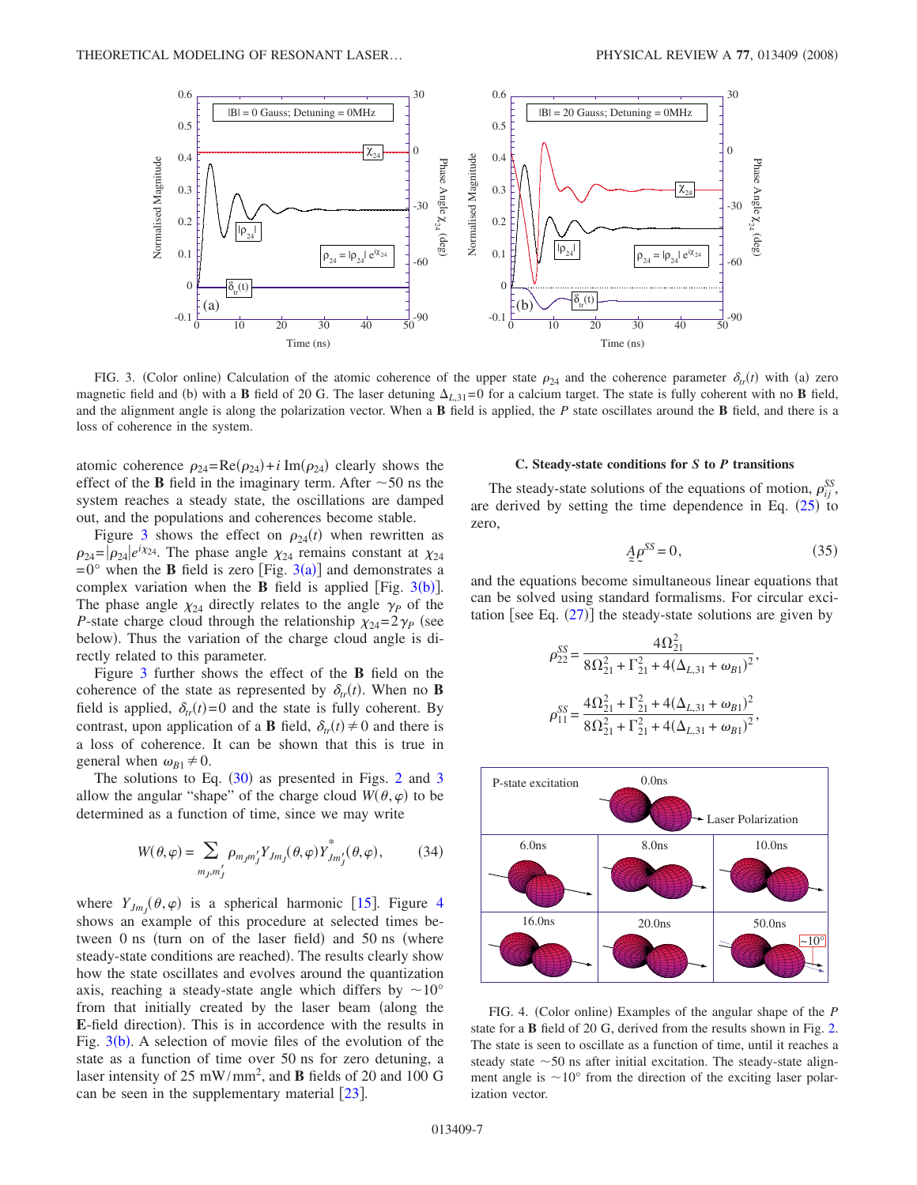<span id="page-6-0"></span>

FIG. 3. (Color online) Calculation of the atomic coherence of the upper state  $\rho_{24}$  and the coherence parameter  $\delta_{tr}(t)$  with (a) zero magnetic field and (b) with a **B** field of 20 G. The laser detuning  $\Delta_{L,31}=0$  for a calcium target. The state is fully coherent with no **B** field, and the alignment angle is along the polarization vector. When a **B** field is applied, the *P* state oscillates around the **B** field, and there is a loss of coherence in the system.

atomic coherence  $\rho_{24} = \text{Re}(\rho_{24}) + i \text{Im}(\rho_{24})$  clearly shows the effect of the **B** field in the imaginary term. After  $\sim$  50 ns the system reaches a steady state, the oscillations are damped out, and the populations and coherences become stable.

Figure [3](#page-6-0) shows the effect on  $\rho_{24}(t)$  when rewritten as  $\rho_{24} = |\rho_{24}|e^{i\chi_{24}}$ . The phase angle  $\chi_{24}$  remains constant at  $\chi_{24}$  $= 0^{\circ}$  when the **B** field is zero [Fig. [3](#page-6-0)(a)] and demonstrates a complex variation when the **B** field is applied [Fig.  $3(b)$  $3(b)$ ]. The phase angle  $\chi_{24}$  directly relates to the angle  $\gamma_P$  of the *P*-state charge cloud through the relationship  $\chi_{24}=2\gamma_P$  (see below). Thus the variation of the charge cloud angle is directly related to this parameter.

Figure [3](#page-6-0) further shows the effect of the **B** field on the coherence of the state as represented by  $\delta_{tr}(t)$ . When no **B** field is applied,  $\delta_{tr}(t) = 0$  and the state is fully coherent. By contrast, upon application of a **B** field,  $\delta_{tr}(t) \neq 0$  and there is a loss of coherence. It can be shown that this is true in general when  $\omega_{B1} \neq 0$ .

The solutions to Eq.  $(30)$  $(30)$  $(30)$  as presented in Figs. [2](#page-5-1) and [3](#page-6-0) allow the angular "shape" of the charge cloud  $W(\theta, \varphi)$  to be determined as a function of time, since we may write

$$
W(\theta,\varphi) = \sum_{m_j,m'_j} \rho_{m_jm'_j} Y_{Jm_j}(\theta,\varphi) Y^*_{Jm'_j}(\theta,\varphi),\tag{34}
$$

where  $Y_{Jm_J}(\theta, \varphi)$  is a spherical harmonic [[15](#page-10-14)]. Figure [4](#page-6-1) shows an example of this procedure at selected times between 0 ns (turn on of the laser field) and 50 ns (where steady-state conditions are reached). The results clearly show how the state oscillates and evolves around the quantization axis, reaching a steady-state angle which differs by  $\sim 10^{\circ}$ from that initially created by the laser beam (along the E-field direction). This is in accordence with the results in Fig.  $3(b)$  $3(b)$ . A selection of movie files of the evolution of the state as a function of time over 50 ns for zero detuning, a laser intensity of 25 mW/mm2 , and **B** fields of 20 and 100 G can be seen in the supplementary material  $[23]$  $[23]$  $[23]$ .

#### **C. Steady-state conditions for** *S* **to** *P* **transitions**

The steady-state solutions of the equations of motion,  $\rho_{ij}^{SS}$ , are derived by setting the time dependence in Eq.  $(25)$  $(25)$  $(25)$  to zero,

$$
A \rho^{SS} = 0,\t\t(35)
$$

<span id="page-6-2"></span>and the equations become simultaneous linear equations that can be solved using standard formalisms. For circular excitation [see Eq.  $(27)$  $(27)$  $(27)$ ] the steady-state solutions are given by

$$
\rho_{22}^{SS} = \frac{4\Omega_{21}^2}{8\Omega_{21}^2 + \Gamma_{21}^2 + 4(\Delta_{L,31} + \omega_{B1})^2},
$$
  

$$
\rho_{11}^{SS} = \frac{4\Omega_{21}^2 + \Gamma_{21}^2 + 4(\Delta_{L,31} + \omega_{B1})^2}{8\Omega_{21}^2 + \Gamma_{21}^2 + 4(\Delta_{L,31} + \omega_{B1})^2},
$$

<span id="page-6-1"></span>

FIG. 4. (Color online) Examples of the angular shape of the *P* state for a **B** field of 20 G, derived from the results shown in Fig. [2.](#page-5-1) The state is seen to oscillate as a function of time, until it reaches a steady state  $\sim$  50 ns after initial excitation. The steady-state alignment angle is  $\sim 10^{\circ}$  from the direction of the exciting laser polarization vector.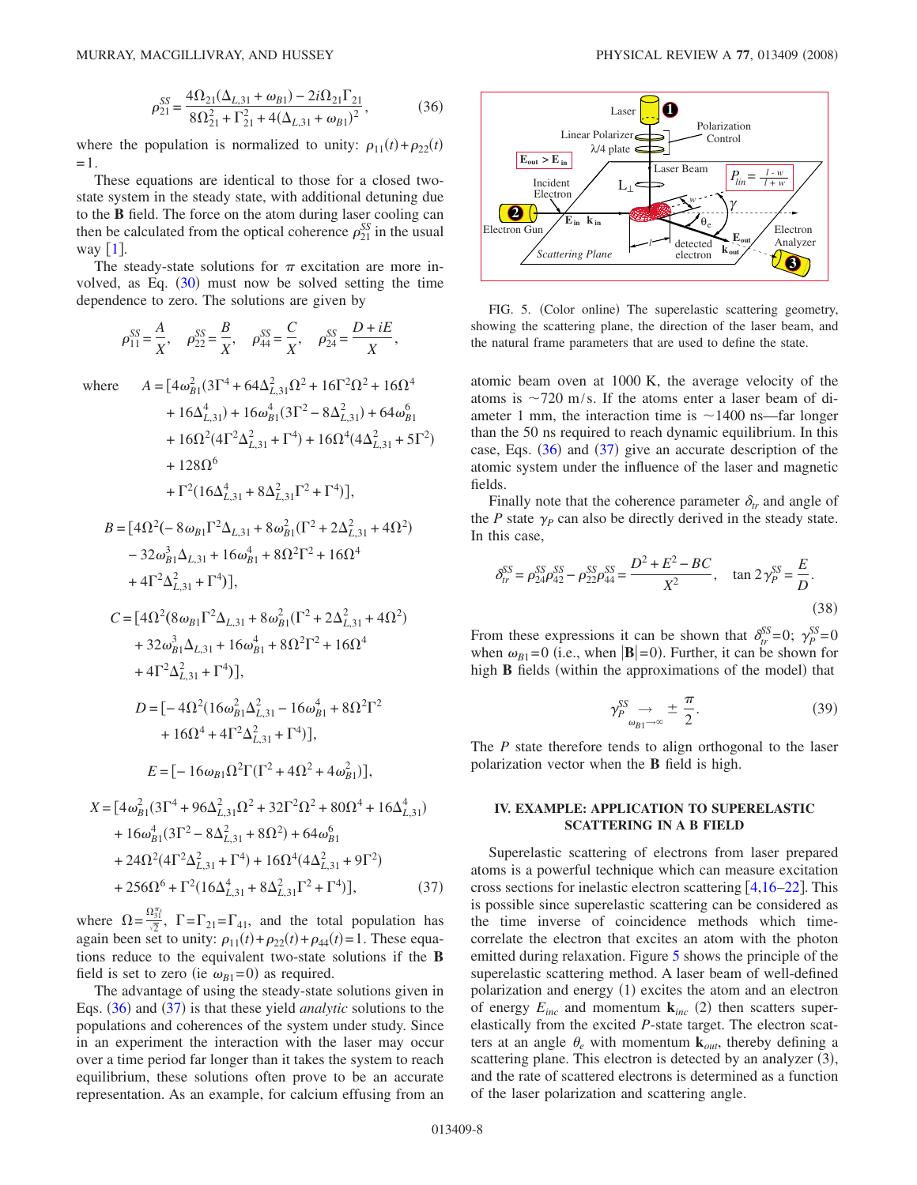$$
\rho_{21}^{SS} = \frac{4\Omega_{21}(\Delta_{L,31} + \omega_{B1}) - 2i\Omega_{21}\Gamma_{21}}{8\Omega_{21}^2 + \Gamma_{21}^2 + 4(\Delta_{L,31} + \omega_{B1})^2},\tag{36}
$$

where the population is normalized to unity:  $\rho_{11}(t) + \rho_{22}(t)$ =1.

These equations are identical to those for a closed twostate system in the steady state, with additional detuning due to the **B** field. The force on the atom during laser cooling can then be calculated from the optical coherence  $\rho_{21}^{SS}$  in the usual way  $\lceil 1 \rceil$  $\lceil 1 \rceil$  $\lceil 1 \rceil$ .

<span id="page-7-0"></span>The steady-state solutions for  $\pi$  excitation are more involved, as Eq.  $(30)$  $(30)$  $(30)$  must now be solved setting the time dependence to zero. The solutions are given by

$$
\rho_{11}^{SS} = \frac{A}{X}, \quad \rho_{22}^{SS} = \frac{B}{X}, \quad \rho_{44}^{SS} = \frac{C}{X}, \quad \rho_{24}^{SS} = \frac{D + iE}{X},
$$

where  $A = [4\omega_{B1}^2(3\Gamma^4 + 64\Delta_{L,31}^2\Omega^2 + 16\Gamma^2\Omega^2 + 16\Omega^4$ 

+ 
$$
16\Delta_{L,31}^4
$$
 +  $16\omega_{B1}^4(3\Gamma^2 - 8\Delta_{L,31}^2)$  +  $64\omega_{B1}^6$   
+  $16\Omega^2(4\Gamma^2\Delta_{L,31}^2 + \Gamma^4)$  +  $16\Omega^4(4\Delta_{L,31}^2 + 5\Gamma^2)$   
+  $128\Omega^6$   
+  $\Gamma^2(16\Delta_{L,31}^4 + 8\Delta_{L,31}^2\Gamma^2 + \Gamma^4)$ ],

$$
B = [4\Omega^2(-8\omega_{B1}\Gamma^2\Delta_{L,31} + 8\omega_{B1}^2(\Gamma^2 + 2\Delta_{L,31}^2 + 4\Omega^2) - 32\omega_{B1}^3\Delta_{L,31} + 16\omega_{B1}^4 + 8\Omega^2\Gamma^2 + 16\Omega^4 + 4\Gamma^2\Delta_{L,31}^2 + \Gamma^4)],
$$

$$
C = [4\Omega^2 (8\omega_{B1}\Gamma^2 \Delta_{L,31} + 8\omega_{B1}^2 (\Gamma^2 + 2\Delta_{L,31}^2 + 4\Omega^2) + 32\omega_{B1}^3 \Delta_{L,31} + 16\omega_{B1}^4 + 8\Omega^2 \Gamma^2 + 16\Omega^4 + 4\Gamma^2 \Delta_{L,31}^2 + \Gamma^4)],
$$
  

$$
D = [-4\Omega^2 (16\omega_{B1}^2 \Delta_{L,31}^2 - 16\omega_{B1}^4 + 8\Omega^2 \Gamma^2 + 16\Omega^4 + 4\Gamma^2 \Delta_{L,31}^2 + \Gamma^4)],
$$

$$
E = [-16\omega_{B1}\Omega^{2}\Gamma(\Gamma^{2} + 4\Omega^{2} + 4\omega_{B1}^{2})],
$$

$$
X = [4\omega_{B1}^{2}(3\Gamma^{4} + 96\Delta_{L,31}^{2}\Omega^{2} + 32\Gamma^{2}\Omega^{2} + 80\Omega^{4} + 16\Delta_{L,31}^{4})
$$
  
+ 16\omega\_{B1}^{4}(3\Gamma^{2} - 8\Delta\_{L,31}^{2} + 8\Omega^{2}) + 64\omega\_{B1}^{6}  
+ 24\Omega^{2}(4\Gamma^{2}\Delta\_{L,31}^{2} + \Gamma^{4}) + 16\Omega^{4}(4\Delta\_{L,31}^{2} + 9\Gamma^{2})  
+ 256\Omega^{6} + \Gamma^{2}(16\Delta\_{L,31}^{4} + 8\Delta\_{L,31}^{2}\Gamma^{2} + \Gamma^{4})], (37)

where  $\Omega = \frac{\Omega_{31}^{T_s}}{\sqrt{2}}$ ,  $\Gamma = \Gamma_{21} = \Gamma_{41}$ , and the total population has again been set to unity:  $\rho_{11}(t) + \rho_{22}(t) + \rho_{44}(t) = 1$ . These equations reduce to the equivalent two-state solutions if the **B** field is set to zero (ie  $\omega_{B1} = 0$ ) as required.

The advantage of using the steady-state solutions given in Eqs. ([36](#page-6-2)) and ([37](#page-7-0)) is that these yield *analytic* solutions to the populations and coherences of the system under study. Since in an experiment the interaction with the laser may occur over a time period far longer than it takes the system to reach equilibrium, these solutions often prove to be an accurate representation. As an example, for calcium effusing from an

<span id="page-7-1"></span>

FIG. 5. (Color online) The superelastic scattering geometry, showing the scattering plane, the direction of the laser beam, and the natural frame parameters that are used to define the state.

atomic beam oven at 1000 K, the average velocity of the atoms is  $\sim$ 720 m/s. If the atoms enter a laser beam of diameter 1 mm, the interaction time is  $\sim$ 1400 ns—far longer than the 50 ns required to reach dynamic equilibrium. In this case, Eqs.  $(36)$  $(36)$  $(36)$  and  $(37)$  $(37)$  $(37)$  give an accurate description of the atomic system under the influence of the laser and magnetic fields.

Finally note that the coherence parameter  $\delta_r$  and angle of the  $P$  state  $\gamma_P$  can also be directly derived in the steady state. In this case,

$$
\delta_{tr}^{SS} = \rho_{24}^{SS} \rho_{42}^{SS} - \rho_{22}^{SS} \rho_{44}^{SS} = \frac{D^2 + E^2 - BC}{X^2}, \quad \tan 2\gamma_P^{SS} = \frac{E}{D}.
$$
\n(38)

From these expressions it can be shown that  $\delta_{tr}^{SS} = 0$ ;  $\gamma_{P}^{SS} = 0$ when  $\omega_{B1}$ =0 (i.e., when  $|\mathbf{B}|$ =0). Further, it can be shown for high **B** fields (within the approximations of the model) that

$$
\gamma_P^{SS} \underset{\omega_{B1} \to \infty}{\to} \pm \frac{\pi}{2}.
$$
 (39)

The *P* state therefore tends to align orthogonal to the laser polarization vector when the **B** field is high.

### **IV. EXAMPLE: APPLICATION TO SUPERELASTIC SCATTERING IN A B FIELD**

Superelastic scattering of electrons from laser prepared atoms is a powerful technique which can measure excitation cross sections for inelastic electron scattering  $[4,16–22]$  $[4,16–22]$  $[4,16–22]$  $[4,16–22]$  $[4,16–22]$ . This is possible since superelastic scattering can be considered as the time inverse of coincidence methods which timecorrelate the electron that excites an atom with the photon emitted during relaxation. Figure [5](#page-7-1) shows the principle of the superelastic scattering method. A laser beam of well-defined polarization and energy (1) excites the atom and an electron of energy  $E_{inc}$  and momentum  $\mathbf{k}_{inc}$  (2) then scatters superelastically from the excited *P*-state target. The electron scatters at an angle  $\theta_e$  with momentum  $\mathbf{k}_{out}$ , thereby defining a scattering plane. This electron is detected by an analyzer (3), and the rate of scattered electrons is determined as a function of the laser polarization and scattering angle.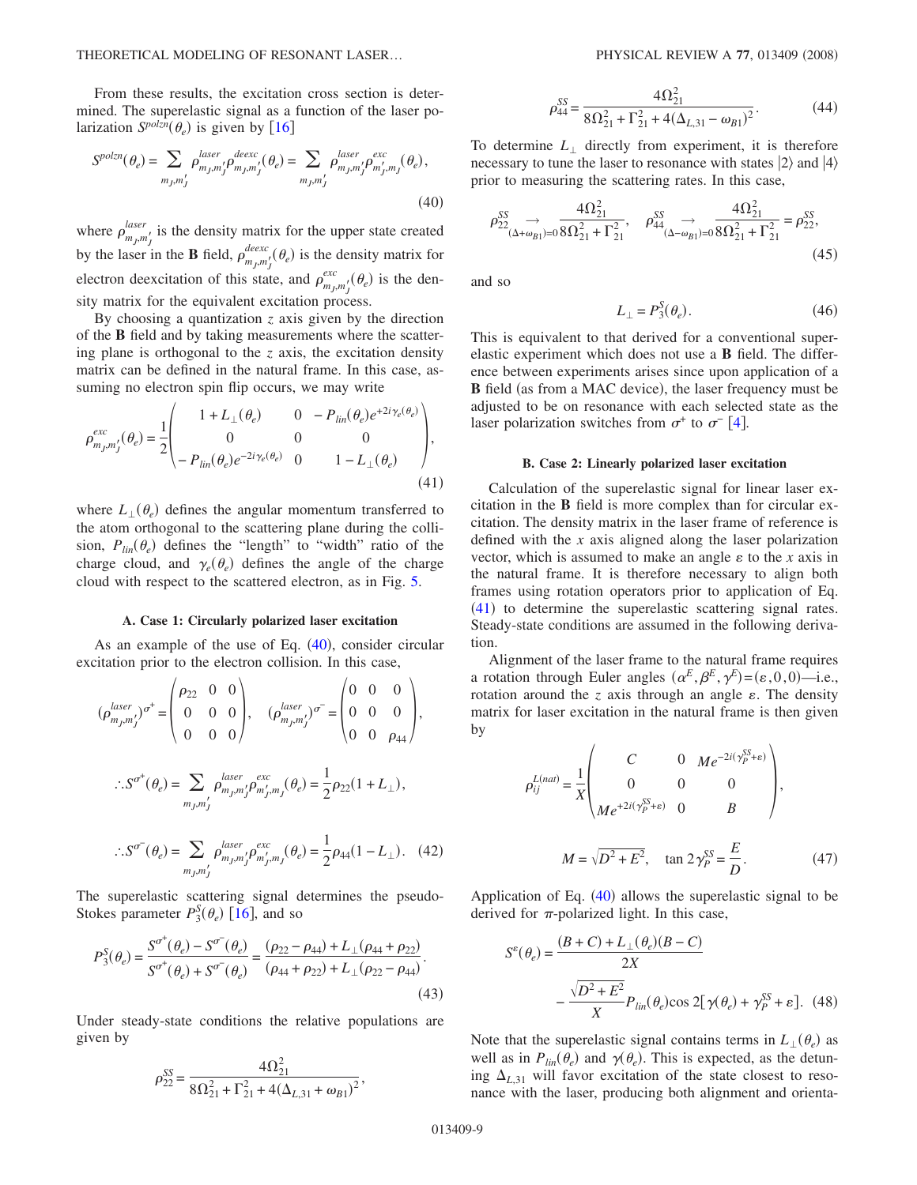From these results, the excitation cross section is determined. The superelastic signal as a function of the laser polarization  $S^{polzn}(\theta_e)$  is given by [[16](#page-10-15)]

<span id="page-8-0"></span>
$$
S^{polzn}(\theta_e) = \sum_{m_J, m_J'} \rho_{m_J, m_J'}^{laser} \rho_{m_J, m_J'}^{deexc}(\theta_e) = \sum_{m_J, m_J'} \rho_{m_J, m_J'}^{laser} \rho_{m_J', m_J}^{exc}(\theta_e),
$$
\n(40)

where  $\rho_{m_j,m'_j}^{laser}$  is the density matrix for the upper state created by the laser in the **B** field,  $\rho_{m_j,m_j'}^{deexc}(\theta_e)$  is the density matrix for electron deexcitation of this state, and  $\rho_{m_j,m'_j}^{exc}(\theta_e)$  is the density matrix for the equivalent excitation process.

By choosing a quantization *z* axis given by the direction of the **B** field and by taking measurements where the scattering plane is orthogonal to the *z* axis, the excitation density matrix can be defined in the natural frame. In this case, assuming no electron spin flip occurs, we may write

<span id="page-8-1"></span>
$$
\rho_{m_j, m'_j}^{exc}(\theta_e) = \frac{1}{2} \begin{pmatrix} 1 + L_{\perp}(\theta_e) & 0 & -P_{lin}(\theta_e)e^{+2i\gamma_e(\theta_e)} \\ 0 & 0 & 0 \\ -P_{lin}(\theta_e)e^{-2i\gamma_e(\theta_e)} & 0 & 1 - L_{\perp}(\theta_e) \end{pmatrix},
$$
\n(41)

where  $L_{\perp}(\theta_e)$  defines the angular momentum transferred to the atom orthogonal to the scattering plane during the collision,  $P_{lin}(\theta_e)$  defines the "length" to "width" ratio of the charge cloud, and  $\gamma_e(\theta_e)$  defines the angle of the charge cloud with respect to the scattered electron, as in Fig. [5.](#page-7-1)

#### **A. Case 1: Circularly polarized laser excitation**

As an example of the use of Eq.  $(40)$  $(40)$  $(40)$ , consider circular excitation prior to the electron collision. In this case,

$$
(\rho_{m_j,m_j'}^{laser})^{\sigma^+} = \begin{pmatrix} \rho_{22} & 0 & 0 \\ 0 & 0 & 0 \\ 0 & 0 & 0 \end{pmatrix}, \quad (\rho_{m_j,m_j'}^{laser})^{\sigma^-} = \begin{pmatrix} 0 & 0 & 0 \\ 0 & 0 & 0 \\ 0 & 0 & \rho_{44} \end{pmatrix},
$$
  

$$
\therefore S^{\sigma^+}(\theta_e) = \sum_{m_j,m_j'} \rho_{m_j,m_j'}^{laser} \rho_{m_j',m_j}^{exc}(\theta_e) = \frac{1}{2} \rho_{22} (1 + L_{\perp}),
$$
  

$$
\therefore S^{\sigma^-}(\theta_e) = \sum_{m_j,m_j'} \rho_{m_j,m_j'}^{laser} \rho_{m_j',m_j}^{exc}(\theta_e) = \frac{1}{2} \rho_{44} (1 - L_{\perp}). \quad (42)
$$

The superelastic scattering signal determines the pseudo-Stokes parameter  $P_3^S(\theta_e)$  [[16](#page-10-15)], and so

$$
P_3^S(\theta_e) = \frac{S^{\sigma^+}(\theta_e) - S^{\sigma^-}(\theta_e)}{S^{\sigma^+}(\theta_e) + S^{\sigma^-}(\theta_e)} = \frac{(\rho_{22} - \rho_{44}) + L_\perp(\rho_{44} + \rho_{22})}{(\rho_{44} + \rho_{22}) + L_\perp(\rho_{22} - \rho_{44})}.
$$
\n(43)

Under steady-state conditions the relative populations are given by

$$
\rho_{22}^{SS} = \frac{4\Omega_{21}^2}{8\Omega_{21}^2 + \Gamma_{21}^2 + 4(\Delta_{L,31} + \omega_{B1})^2},
$$

$$
\rho_{44}^{SS} = \frac{4\Omega_{21}^2}{8\Omega_{21}^2 + \Gamma_{21}^2 + 4(\Delta_{L,31} - \omega_{B1})^2}.
$$
\n(44)

To determine  $L_{\perp}$  directly from experiment, it is therefore necessary to tune the laser to resonance with states  $|2\rangle$  and  $|4\rangle$ prior to measuring the scattering rates. In this case,

$$
\rho_{22}^{SS} \rightarrow \frac{4\Omega_{21}^2}{(\Delta + \omega_{B1}) = 0} \frac{4\Omega_{21}^2}{8\Omega_{21}^2 + \Gamma_{21}^2}, \quad \rho_{44}^{SS} \rightarrow \frac{4\Omega_{21}^2}{(\Delta - \omega_{B1}) = 0} \frac{4\Omega_{21}^2}{8\Omega_{21}^2 + \Gamma_{21}^2} = \rho_{22}^{SS},
$$
\n(45)

and so

$$
L_{\perp} = P_3^S(\theta_e). \tag{46}
$$

This is equivalent to that derived for a conventional superelastic experiment which does not use a **B** field. The difference between experiments arises since upon application of a **B** field (as from a MAC device), the laser frequency must be adjusted to be on resonance with each selected state as the laser polarization switches from  $\sigma^+$  to  $\sigma^-$  [[4](#page-10-3)].

#### **B. Case 2: Linearly polarized laser excitation**

Calculation of the superelastic signal for linear laser excitation in the **B** field is more complex than for circular excitation. The density matrix in the laser frame of reference is defined with the *x* axis aligned along the laser polarization vector, which is assumed to make an angle  $\varepsilon$  to the *x* axis in the natural frame. It is therefore necessary to align both frames using rotation operators prior to application of Eq.  $(41)$  $(41)$  $(41)$  to determine the superelastic scattering signal rates. Steady-state conditions are assumed in the following derivation.

Alignment of the laser frame to the natural frame requires a rotation through Euler angles  $(\alpha^E, \beta^E, \gamma^E) = (\varepsilon, 0, 0)$ —i.e., rotation around the  $z$  axis through an angle  $\varepsilon$ . The density matrix for laser excitation in the natural frame is then given by

$$
\rho_{ij}^{L(nat)} = \frac{1}{X} \begin{pmatrix} C & 0 & Me^{-2i(\gamma_P^{SS} + \varepsilon)} \\ 0 & 0 & 0 \\ Me^{+2i(\gamma_P^{SS} + \varepsilon)} & 0 & B \end{pmatrix},
$$

$$
M = \sqrt{D^2 + E^2}
$$
,  $\tan 2\gamma_P^{SS} = \frac{E}{D}$ . (47)

<span id="page-8-2"></span>Application of Eq.  $(40)$  $(40)$  $(40)$  allows the superelastic signal to be derived for  $\pi$ -polarized light. In this case,

$$
S^{e}(\theta_{e}) = \frac{(B+C) + L_{\perp}(\theta_{e})(B-C)}{2X}
$$

$$
-\frac{\sqrt{D^{2} + E^{2}}}{X}P_{lin}(\theta_{e})\cos 2[\gamma(\theta_{e}) + \gamma_{P}^{SS} + \varepsilon].
$$
 (48)

Note that the superelastic signal contains terms in  $L_{\perp}(\theta_e)$  as well as in  $P_{lin}(\theta_e)$  and  $\gamma(\theta_e)$ . This is expected, as the detuning  $\Delta_{L,31}$  will favor excitation of the state closest to resonance with the laser, producing both alignment and orienta-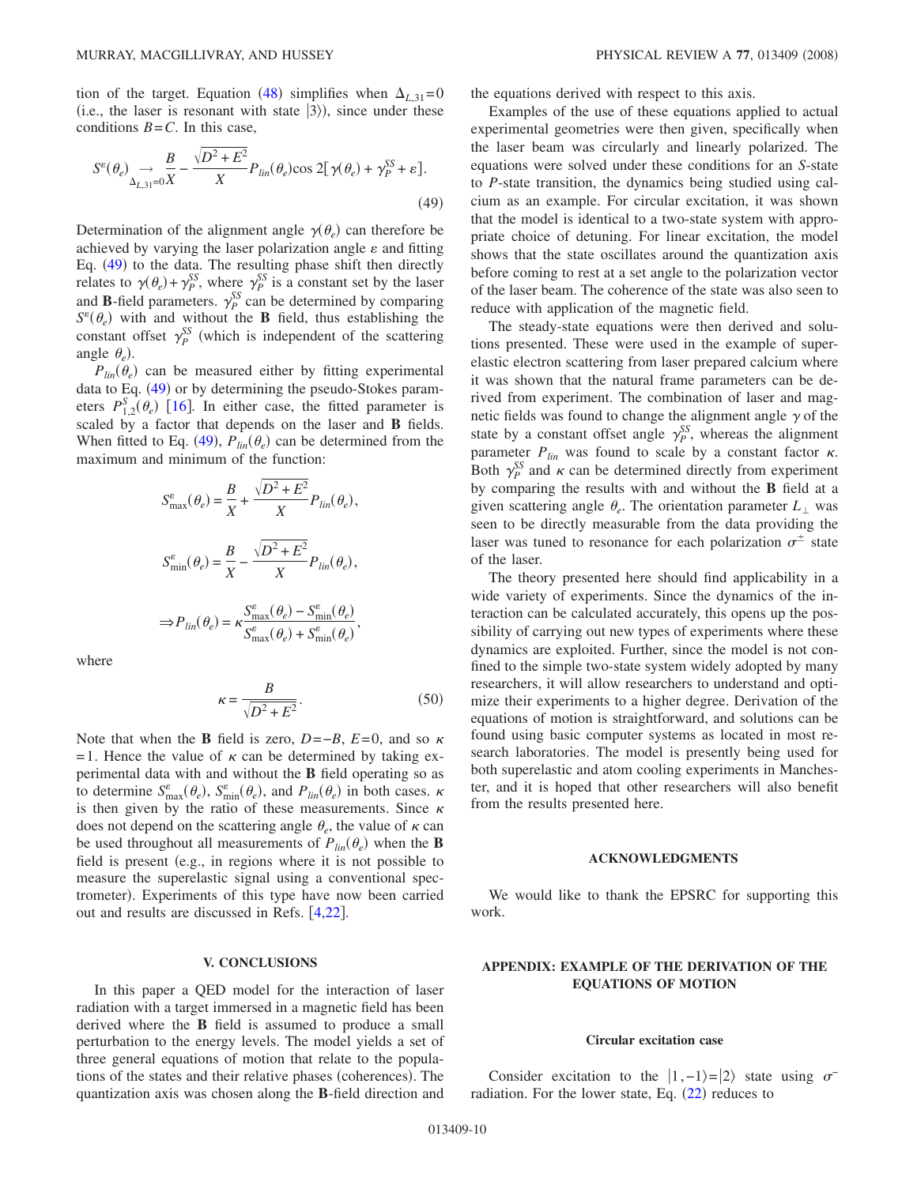tion of the target. Equation ([48](#page-8-2)) simplifies when  $\Delta_{L,31}=0$ (i.e., the laser is resonant with state  $|3\rangle$ ), since under these conditions  $B = C$ . In this case,

<span id="page-9-0"></span>
$$
S^{\varepsilon}(\theta_e) \xrightarrow[\Delta_{L,31}=0]{B} -\frac{\sqrt{D^2 + E^2}}{X} P_{lin}(\theta_e) \cos 2[\gamma(\theta_e) + \gamma_P^{SS} + \varepsilon].
$$
\n(49)

Determination of the alignment angle  $\gamma(\theta_e)$  can therefore be achieved by varying the laser polarization angle  $\varepsilon$  and fitting Eq. ([49](#page-9-0)) to the data. The resulting phase shift then directly relates to  $\gamma(\theta_e) + \gamma_P^{SS}$ , where  $\gamma_P^{SS}$  is a constant set by the laser and **B**-field parameters.  $\gamma_P^{SS}$  can be determined by comparing  $S^{\varepsilon}(\theta_e)$  with and without the **B** field, thus establishing the constant offset  $\gamma_P^{SS}$  (which is independent of the scattering angle  $\theta_e$ ).

 $P_{lin}(\theta_e)$  can be measured either by fitting experimental data to Eq. ([49](#page-9-0)) or by determining the pseudo-Stokes parameters  $P_{1,2}^{S}(\theta_e)$  [[16](#page-10-15)]. In either case, the fitted parameter is scaled by a factor that depends on the laser and **B** fields. When fitted to Eq. ([49](#page-9-0)),  $P_{lin}(\theta_e)$  can be determined from the maximum and minimum of the function:

$$
S_{\text{max}}^{\varepsilon}(\theta_e) = \frac{B}{X} + \frac{\sqrt{D^2 + E^2}}{X} P_{lin}(\theta_e),
$$
  

$$
S_{\text{min}}^{\varepsilon}(\theta_e) = \frac{B}{X} - \frac{\sqrt{D^2 + E^2}}{X} P_{lin}(\theta_e),
$$
  

$$
\Rightarrow P_{lin}(\theta_e) = \kappa \frac{S_{\text{max}}^{\varepsilon}(\theta_e) - S_{\text{min}}^{\varepsilon}(\theta_e)}{S_{\text{max}}^{\varepsilon}(\theta_e) + S_{\text{min}}^{\varepsilon}(\theta_e)},
$$

where

$$
\kappa = \frac{B}{\sqrt{D^2 + E^2}}.\tag{50}
$$

Note that when the **B** field is zero,  $D=-B$ ,  $E=0$ , and so  $\kappa$ = 1. Hence the value of  $\kappa$  can be determined by taking experimental data with and without the **B** field operating so as to determine  $S_{\text{max}}^{\varepsilon}(\theta_e)$ ,  $S_{\text{min}}^{\varepsilon}(\theta_e)$ , and  $P_{lin}(\theta_e)$  in both cases.  $\kappa$ is then given by the ratio of these measurements. Since  $\kappa$ does not depend on the scattering angle  $\theta_e$ , the value of  $\kappa$  can be used throughout all measurements of  $P_{lin}(\theta_e)$  when the **B** field is present (e.g., in regions where it is not possible to measure the superelastic signal using a conventional spectrometer). Experiments of this type have now been carried out and results are discussed in Refs. [[4](#page-10-3)[,22](#page-11-1)].

### **V. CONCLUSIONS**

In this paper a QED model for the interaction of laser radiation with a target immersed in a magnetic field has been derived where the **B** field is assumed to produce a small perturbation to the energy levels. The model yields a set of three general equations of motion that relate to the populations of the states and their relative phases (coherences). The quantization axis was chosen along the **B**-field direction and the equations derived with respect to this axis.

Examples of the use of these equations applied to actual experimental geometries were then given, specifically when the laser beam was circularly and linearly polarized. The equations were solved under these conditions for an *S*-state to *P*-state transition, the dynamics being studied using calcium as an example. For circular excitation, it was shown that the model is identical to a two-state system with appropriate choice of detuning. For linear excitation, the model shows that the state oscillates around the quantization axis before coming to rest at a set angle to the polarization vector of the laser beam. The coherence of the state was also seen to reduce with application of the magnetic field.

The steady-state equations were then derived and solutions presented. These were used in the example of superelastic electron scattering from laser prepared calcium where it was shown that the natural frame parameters can be derived from experiment. The combination of laser and magnetic fields was found to change the alignment angle  $\gamma$  of the state by a constant offset angle  $\gamma_P^{SS}$ , whereas the alignment parameter  $P_{lin}$  was found to scale by a constant factor  $\kappa$ . Both  $\gamma_P^{SS}$  and  $\kappa$  can be determined directly from experiment by comparing the results with and without the **B** field at a given scattering angle  $\theta_e$ . The orientation parameter  $L_{\perp}$  was seen to be directly measurable from the data providing the laser was tuned to resonance for each polarization  $\sigma^{\pm}$  state of the laser.

The theory presented here should find applicability in a wide variety of experiments. Since the dynamics of the interaction can be calculated accurately, this opens up the possibility of carrying out new types of experiments where these dynamics are exploited. Further, since the model is not confined to the simple two-state system widely adopted by many researchers, it will allow researchers to understand and optimize their experiments to a higher degree. Derivation of the equations of motion is straightforward, and solutions can be found using basic computer systems as located in most research laboratories. The model is presently being used for both superelastic and atom cooling experiments in Manchester, and it is hoped that other researchers will also benefit from the results presented here.

### **ACKNOWLEDGMENTS**

We would like to thank the EPSRC for supporting this work.

## **APPENDIX: EXAMPLE OF THE DERIVATION OF THE EQUATIONS OF MOTION**

#### **Circular excitation case**

Consider excitation to the  $|1,-1\rangle=|2\rangle$  state using  $\sigma^$ radiation. For the lower state, Eq.  $(22)$  $(22)$  $(22)$  reduces to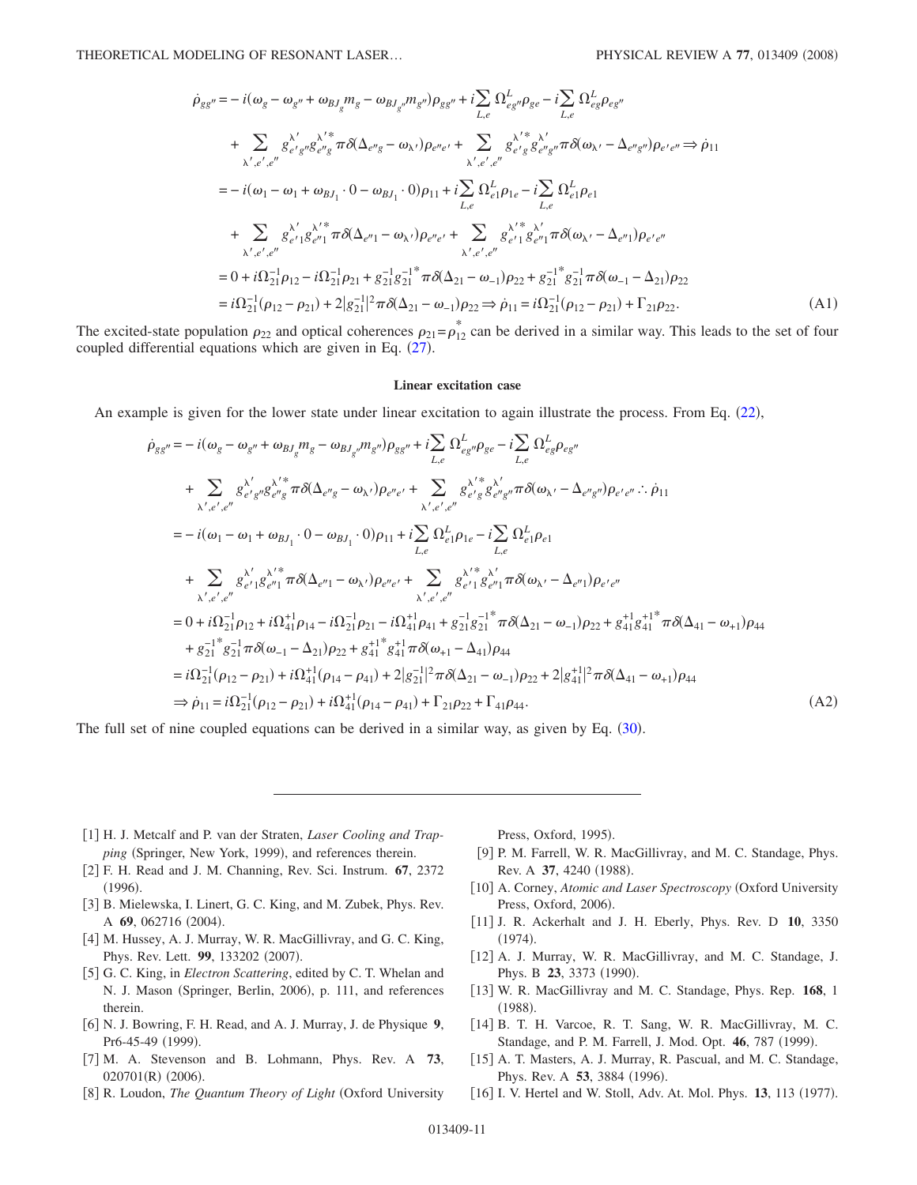$$
\dot{\rho}_{gg''} = -i(\omega_g - \omega_{g''} + \omega_{BJ_g} m_g - \omega_{BJ_{g''}} m_{g''}) \rho_{gg''} + i \sum_{L,e} \Omega_{e_{gg}}^L \rho_{ge} - i \sum_{L,e} \Omega_{e_{gg}}^L \rho_{eg''}
$$
\n
$$
+ \sum_{\lambda',e',e''} g_{e'g''g}^{\lambda' *} \pi \delta(\Delta_{e''g} - \omega_{\lambda'}) \rho_{e''e'} + \sum_{\lambda',e',e''} g_{e'g}^{\lambda' *} g_{e''g''}^{\lambda'} \pi \delta(\omega_{\lambda'} - \Delta_{e''g''}) \rho_{e'e''} \Rightarrow \dot{\rho}_{11}
$$
\n
$$
= -i(\omega_1 - \omega_1 + \omega_{BJ_1} \cdot 0 - \omega_{BJ_1} \cdot 0) \rho_{11} + i \sum_{L,e} \Omega_{e_1}^L \rho_{1e} - i \sum_{L,e} \Omega_{e_1}^L \rho_{e_1}
$$
\n
$$
+ \sum_{\lambda',e',e''} g_{e'1}^{\lambda' *} g_{e''1}^{\lambda' *} \pi \delta(\Delta_{e''1} - \omega_{\lambda'}) \rho_{e''e'} + \sum_{\lambda',e',e''} g_{e'1}^{\lambda' *} g_{e''1}^{\lambda'} \pi \delta(\omega_{\lambda'} - \Delta_{e''1}) \rho_{e'e''}
$$
\n
$$
= 0 + i \Omega_{21}^{-1} \rho_{12} - i \Omega_{21}^{-1} \rho_{21} + g_{21}^{-1} g_{21}^{-1} \pi \delta(\Delta_{21} - \omega_{-1}) \rho_{22} + g_{21}^{-1} g_{21}^{-1} \pi \delta(\omega_{-1} - \Delta_{21}) \rho_{22}
$$
\n
$$
= i \Omega_{21}^{-1} (\rho_{12} - \rho_{21}) + 2|g_{21}^{-1}|^2 \pi \delta(\Delta_{21} - \omega_{-1}) \rho_{22} \Rightarrow \dot{\rho}_{11} = i \Omega_{21}^{-1} (\rho_{12} - \rho_{21}) + \Gamma_{21} \rho_{22}.
$$
\n(A1)

The excited-state population  $\rho_{22}$  and optical coherences  $\rho_{21} = \rho_{12}^*$  can be derived in a similar way. This leads to the set of four coupled differential equations which are given in Eq.  $(27)$  $(27)$  $(27)$ .

### **Linear excitation case**

An example is given for the lower state under linear excitation to again illustrate the process. From Eq. ([22](#page-3-1)),

$$
\dot{\rho}_{gg''} = -i(\omega_{g} - \omega_{g''} + \omega_{BJ_{g}} m_{g} - \omega_{BJ_{g''}} m_{g''}) \rho_{gg''} + i \sum_{L,e} \Omega_{eg}^{L} \Omega_{eg}^{L} \rho_{ge} - i \sum_{L,e} \Omega_{eg}^{L} \rho_{eg''}
$$
\n
$$
+ \sum_{\lambda',e',e''} g_{e'g''}^{\lambda'} g_{e''g}^{\lambda''} \pi \delta(\Delta_{e''g} - \omega_{\lambda'}) \rho_{e''e'} + \sum_{\lambda',e',e''} g_{e'g}^{\lambda' *} g_{e''g''}^{\lambda'} \pi \delta(\omega_{\lambda'} - \Delta_{e''g''}) \rho_{e'e''} \dots \dot{\rho}_{11}
$$
\n
$$
= -i(\omega_{1} - \omega_{1} + \omega_{BJ_{1}} \cdot 0 - \omega_{BJ_{1}} \cdot 0) \rho_{11} + i \sum_{L,e} \Omega_{e1}^{L} \rho_{1e} - i \sum_{L,e} \Omega_{e1}^{L} \rho_{e1}
$$
\n
$$
+ \sum_{\lambda',e',e''} g_{e''1}^{\lambda'} g_{e''1}^{\lambda'^*} \pi \delta(\Delta_{e''1} - \omega_{\lambda'}) \rho_{e''e'} + \sum_{\lambda',e',e''} g_{e''1}^{\lambda'^*} g_{e''1}^{\lambda''} \pi \delta(\omega_{\lambda'} - \Delta_{e''1}) \rho_{e'e''}
$$
\n
$$
= 0 + i \Omega_{21}^{-1} \rho_{12} + i \Omega_{41}^{-1} \rho_{14} - i \Omega_{21}^{-1} \rho_{21} - i \Omega_{41}^{1} \rho_{41} + g_{21}^{-1} g_{21}^{-1} \pi \delta(\Delta_{21} - \omega_{-1}) \rho_{22} + g_{41}^{1} g_{41}^{1} \pi \delta(\Delta_{41} - \omega_{+1}) \rho_{44}
$$
\n
$$
+ g_{21}^{-1} g_{21}^{-1} \pi \delta(\omega_{-1} - \Delta_{21}) \rho_{22} + g_{41}^{1+1} g_{41}^{-1} \pi \delta(\omega_{+1} - \Delta_{41}) \rho_{44}
$$
\n
$$
= i \Omega_{21}^{-1} (\rho_{12} - \rho_{21
$$

The full set of nine coupled equations can be derived in a similar way, as given by Eq.  $(30)$  $(30)$  $(30)$ .

- <span id="page-10-0"></span>1 H. J. Metcalf and P. van der Straten, *Laser Cooling and Trap*ping (Springer, New York, 1999), and references therein.
- <span id="page-10-1"></span>2 F. H. Read and J. M. Channing, Rev. Sci. Instrum. **67**, 2372  $(1996).$
- <span id="page-10-2"></span>[3] B. Mielewska, I. Linert, G. C. King, and M. Zubek, Phys. Rev. A 69, 062716 (2004).
- <span id="page-10-3"></span>[4] M. Hussey, A. J. Murray, W. R. MacGillivray, and G. C. King, Phys. Rev. Lett. 99, 133202 (2007).
- <span id="page-10-4"></span>5 G. C. King, in *Electron Scattering*, edited by C. T. Whelan and N. J. Mason (Springer, Berlin, 2006), p. 111, and references therein.
- <span id="page-10-5"></span>6 N. J. Bowring, F. H. Read, and A. J. Murray, J. de Physique **9**, Pr6-45-49 (1999).
- <span id="page-10-6"></span>7 M. A. Stevenson and B. Lohmann, Phys. Rev. A **73**, 020701(R) (2006).
- <span id="page-10-7"></span>[8] R. Loudon, *The Quantum Theory of Light* (Oxford University

Press, Oxford, 1995).

- <span id="page-10-8"></span>[9] P. M. Farrell, W. R. MacGillivray, and M. C. Standage, Phys. Rev. A 37, 4240 (1988).
- <span id="page-10-9"></span>[10] A. Corney, *Atomic and Laser Spectroscopy* (Oxford University Press, Oxford, 2006).
- <span id="page-10-10"></span>11 J. R. Ackerhalt and J. H. Eberly, Phys. Rev. D **10**, 3350  $(1974).$
- <span id="page-10-11"></span>[12] A. J. Murray, W. R. MacGillivray, and M. C. Standage, J. Phys. B 23, 3373 (1990).
- <span id="page-10-12"></span>13 W. R. MacGillivray and M. C. Standage, Phys. Rep. **168**, 1  $(1988).$
- <span id="page-10-13"></span>[14] B. T. H. Varcoe, R. T. Sang, W. R. MacGillivray, M. C. Standage, and P. M. Farrell, J. Mod. Opt. 46, 787 (1999).
- <span id="page-10-14"></span>[15] A. T. Masters, A. J. Murray, R. Pascual, and M. C. Standage, Phys. Rev. A 53, 3884 (1996).
- <span id="page-10-15"></span>[16] I. V. Hertel and W. Stoll, Adv. At. Mol. Phys. 13, 113 (1977).